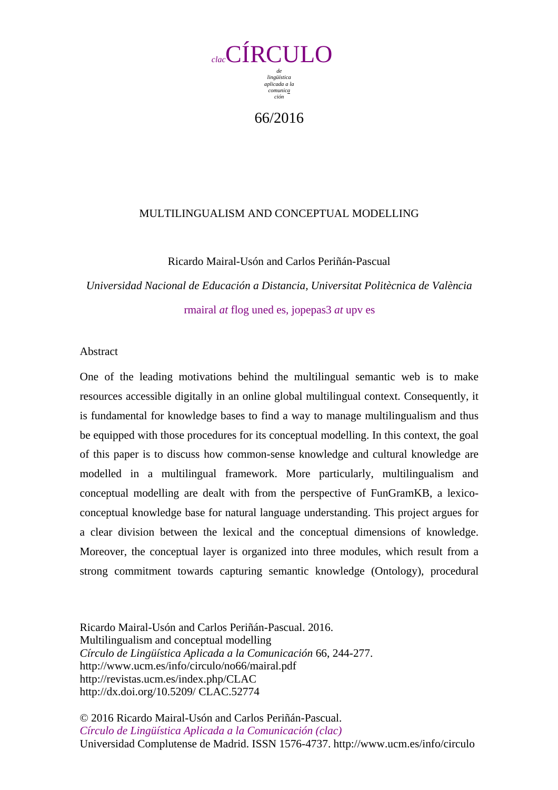

66/2016

# MULTILINGUALISM AND CONCEPTUAL MODELLING

Ricardo Mairal-Usón and Carlos Periñán-Pascual

*Universidad Nacional de Educación a Distancia, Universitat Politècnica de València*  rmairal *at* flog uned es, jopepas3 *at* upv es

# Abstract

One of the leading motivations behind the multilingual semantic web is to make resources accessible digitally in an online global multilingual context. Consequently, it is fundamental for knowledge bases to find a way to manage multilingualism and thus be equipped with those procedures for its conceptual modelling. In this context, the goal of this paper is to discuss how common-sense knowledge and cultural knowledge are modelled in a multilingual framework. More particularly, multilingualism and conceptual modelling are dealt with from the perspective of FunGramKB, a lexicoconceptual knowledge base for natural language understanding. This project argues for a clear division between the lexical and the conceptual dimensions of knowledge. Moreover, the conceptual layer is organized into three modules, which result from a strong commitment towards capturing semantic knowledge (Ontology), procedural

Ricardo Mairal-Usón and Carlos Periñán-Pascual. 2016. Multilingualism and conceptual modelling *Círculo de Lingüística Aplicada a la Comunicación* 66, 244-277. http://www.ucm.es/info/circulo/no66/mairal.pdf http://revistas.ucm.es/index.php/CLAC http://dx.doi.org/10.5209/ CLAC.52774

© 2016 Ricardo Mairal-Usón and Carlos Periñán-Pascual. *Círculo de Lingüística Aplicada a la Comunicación (clac)* Universidad Complutense de Madrid. ISSN 1576-4737. http://www.ucm.es/info/circulo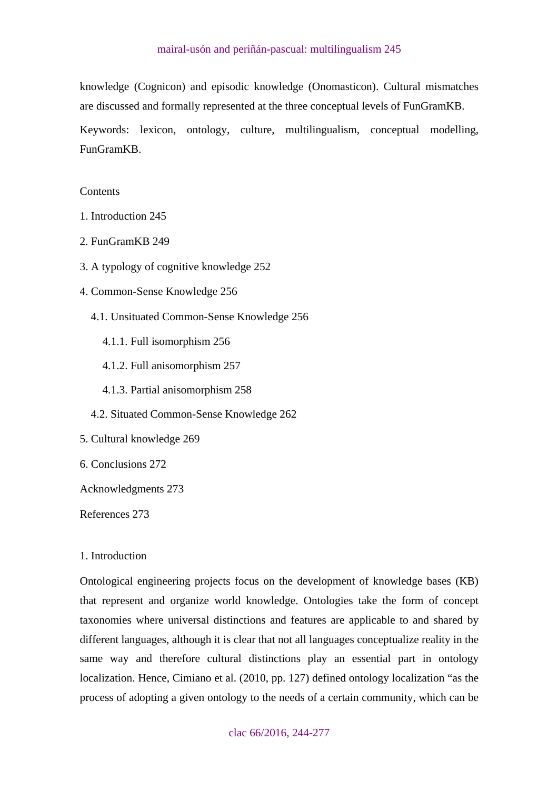<span id="page-1-0"></span>knowledge (Cognicon) and episodic knowledge (Onomasticon). Cultural mismatches are discussed and formally represented at the three conceptual levels of FunGramKB.

Keywords: lexicon, ontology, culture, multilingualism, conceptual modelling, FunGramKB.

# **Contents**

- [1. Introduction 245](#page-1-0)
- [2. FunGramKB 249](#page-5-0)
- [3. A typology of cognitive knowledge 252](#page-8-0)
- [4. Common-Sense Knowledge 256](#page-12-0) 
	- [4.1. Unsituated Common-Sense Knowledge 256](#page-12-0) 
		- [4.1.1. Full isomorphism 256](#page-12-0)
		- [4.1.2. Full anisomorphism 257](#page-13-0)
		- [4.1.3. Partial anisomorphism 258](#page-14-0)
	- [4.2. Situated Common-Sense Knowledge 262](#page-18-0)
- [5. Cultural knowledge 269](#page-25-0)
- [6. Conclusions 272](#page-28-0)

[Acknowledgments 273](#page-29-0) 

[References 273](#page-29-0) 

### 1. Introduction

Ontological engineering projects focus on the development of knowledge bases (KB) that represent and organize world knowledge. Ontologies take the form of concept taxonomies where universal distinctions and features are applicable to and shared by different languages, although it is clear that not all languages conceptualize reality in the same way and therefore cultural distinctions play an essential part in ontology localization. Hence, Cimiano et al. (2010, pp. 127) defined ontology localization "as the process of adopting a given ontology to the needs of a certain community, which can be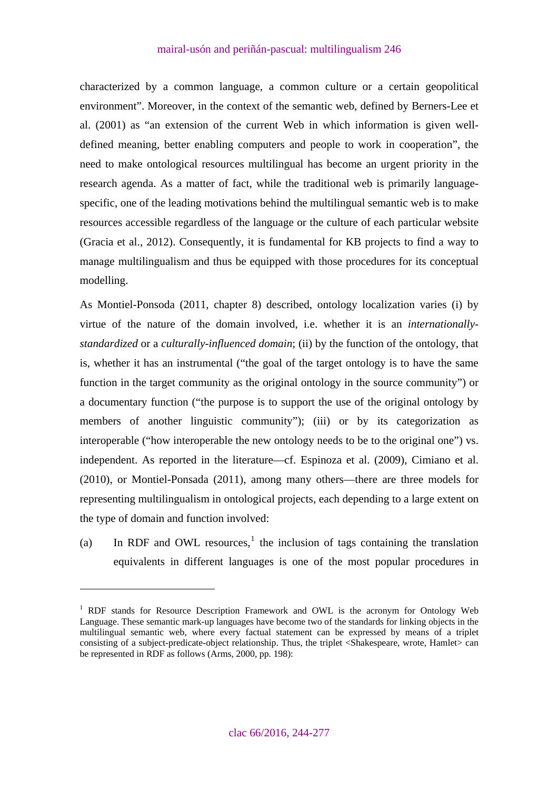characterized by a common language, a common culture or a certain geopolitical environment". Moreover, in the context of the semantic web, defined by Berners-Lee et al. (2001) as "an extension of the current Web in which information is given welldefined meaning, better enabling computers and people to work in cooperation", the need to make ontological resources multilingual has become an urgent priority in the research agenda. As a matter of fact, while the traditional web is primarily languagespecific, one of the leading motivations behind the multilingual semantic web is to make resources accessible regardless of the language or the culture of each particular website (Gracia et al., 2012). Consequently, it is fundamental for KB projects to find a way to manage multilingualism and thus be equipped with those procedures for its conceptual modelling.

As Montiel-Ponsoda (2011, chapter 8) described, ontology localization varies (i) by virtue of the nature of the domain involved, i.e. whether it is an *internationallystandardized* or a *culturally-influenced domain*; (ii) by the function of the ontology, that is, whether it has an instrumental ("the goal of the target ontology is to have the same function in the target community as the original ontology in the source community") or a documentary function ("the purpose is to support the use of the original ontology by members of another linguistic community"); (iii) or by its categorization as interoperable ("how interoperable the new ontology needs to be to the original one") vs. independent. As reported in the literature—cf. Espinoza et al. (2009), Cimiano et al. (2010), or Montiel-Ponsada (2011), among many others—there are three models for representing multilingualism in ontological projects, each depending to a large extent on the type of domain and function involved:

(a) In RDF and OWL resources,<sup>[1](#page-2-0)</sup> the inclusion of tags containing the translation equivalents in different languages is one of the most popular procedures in

 $\overline{a}$ 

<span id="page-2-0"></span><sup>&</sup>lt;sup>1</sup> RDF stands for Resource Description Framework and OWL is the acronym for Ontology Web Language. These semantic mark-up languages have become two of the standards for linking objects in the multilingual semantic web, where every factual statement can be expressed by means of a triplet consisting of a subject-predicate-object relationship. Thus, the triplet <Shakespeare, wrote, Hamlet> can be represented in RDF as follows (Arms, 2000, pp. 198):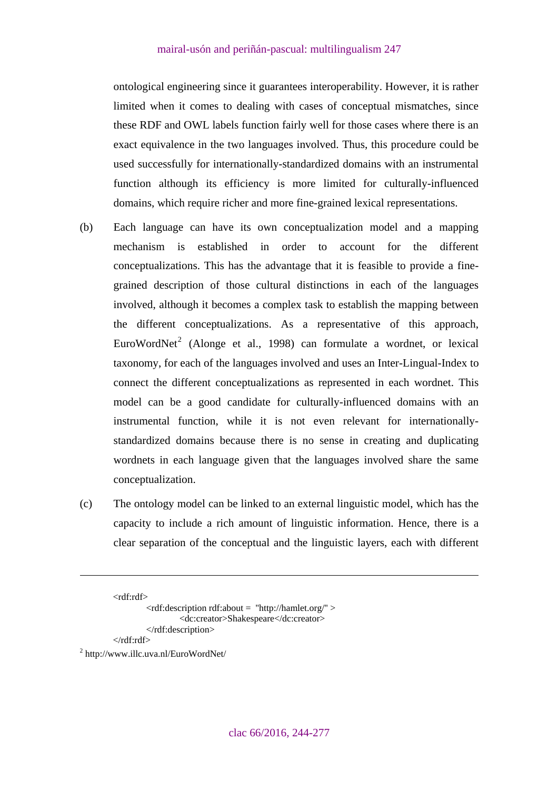ontological engineering since it guarantees interoperability. However, it is rather limited when it comes to dealing with cases of conceptual mismatches, since these RDF and OWL labels function fairly well for those cases where there is an exact equivalence in the two languages involved. Thus, this procedure could be used successfully for internationally-standardized domains with an instrumental function although its efficiency is more limited for culturally-influenced domains, which require richer and more fine-grained lexical representations.

- (b) Each language can have its own conceptualization model and a mapping mechanism is established in order to account for the different conceptualizations. This has the advantage that it is feasible to provide a finegrained description of those cultural distinctions in each of the languages involved, although it becomes a complex task to establish the mapping between the different conceptualizations. As a representative of this approach, EuroWordNet<sup>[2](#page-3-0)</sup> (Alonge et al., 1998) can formulate a wordnet, or lexical taxonomy, for each of the languages involved and uses an Inter-Lingual-Index to connect the different conceptualizations as represented in each wordnet. This model can be a good candidate for culturally-influenced domains with an instrumental function, while it is not even relevant for internationallystandardized domains because there is no sense in creating and duplicating wordnets in each language given that the languages involved share the same conceptualization.
- (c) The ontology model can be linked to an external linguistic model, which has the capacity to include a rich amount of linguistic information. Hence, there is a clear separation of the conceptual and the linguistic layers, each with different

```
<rdf:rdf>
```
1

```
<rdf:description rdf:about = ''http://hamlet.org/'' > 
                  <dc:creator>Shakespeare</dc:creator> 
         </rdf:description> 
</rdf:rdf>
```
<span id="page-3-0"></span>2 http://www.illc.uva.nl/EuroWordNet/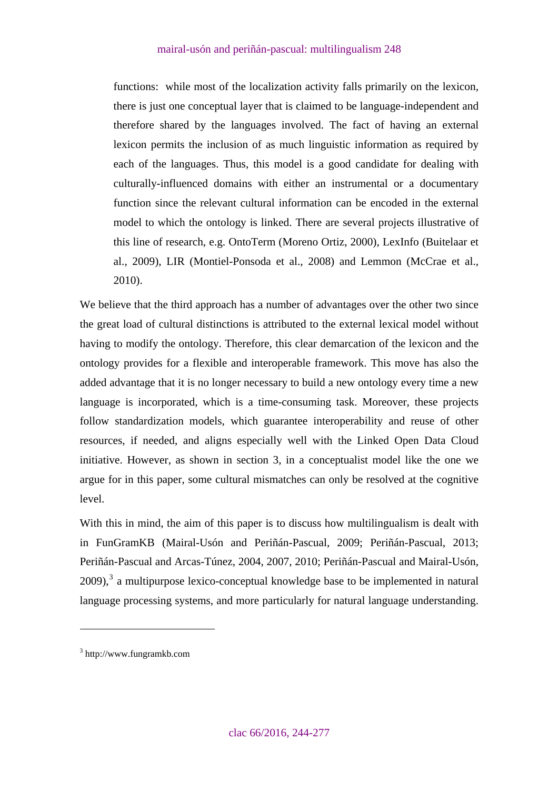functions: while most of the localization activity falls primarily on the lexicon, there is just one conceptual layer that is claimed to be language-independent and therefore shared by the languages involved. The fact of having an external lexicon permits the inclusion of as much linguistic information as required by each of the languages. Thus, this model is a good candidate for dealing with culturally-influenced domains with either an instrumental or a documentary function since the relevant cultural information can be encoded in the external model to which the ontology is linked. There are several projects illustrative of this line of research, e.g. OntoTerm (Moreno Ortiz, 2000), LexInfo (Buitelaar et al., 2009), LIR (Montiel-Ponsoda et al., 2008) and Lemmon (McCrae et al., 2010).

We believe that the third approach has a number of advantages over the other two since the great load of cultural distinctions is attributed to the external lexical model without having to modify the ontology. Therefore, this clear demarcation of the lexicon and the ontology provides for a flexible and interoperable framework. This move has also the added advantage that it is no longer necessary to build a new ontology every time a new language is incorporated, which is a time-consuming task. Moreover, these projects follow standardization models, which guarantee interoperability and reuse of other resources, if needed, and aligns especially well with the Linked Open Data Cloud initiative. However, as shown in section 3, in a conceptualist model like the one we argue for in this paper, some cultural mismatches can only be resolved at the cognitive level.

With this in mind, the aim of this paper is to discuss how multilingualism is dealt with in FunGramKB (Mairal-Usón and Periñán-Pascual, 2009; Periñán-Pascual, 2013; Periñán-Pascual and Arcas-Túnez, 2004, 2007, 2010; Periñán-Pascual and Mairal-Usón,  $2009$ ),<sup>[3](#page-4-0)</sup> a multipurpose lexico-conceptual knowledge base to be implemented in natural language processing systems, and more particularly for natural language understanding.

 $\overline{a}$ 

<span id="page-4-0"></span><sup>3</sup> http://www.fungramkb.com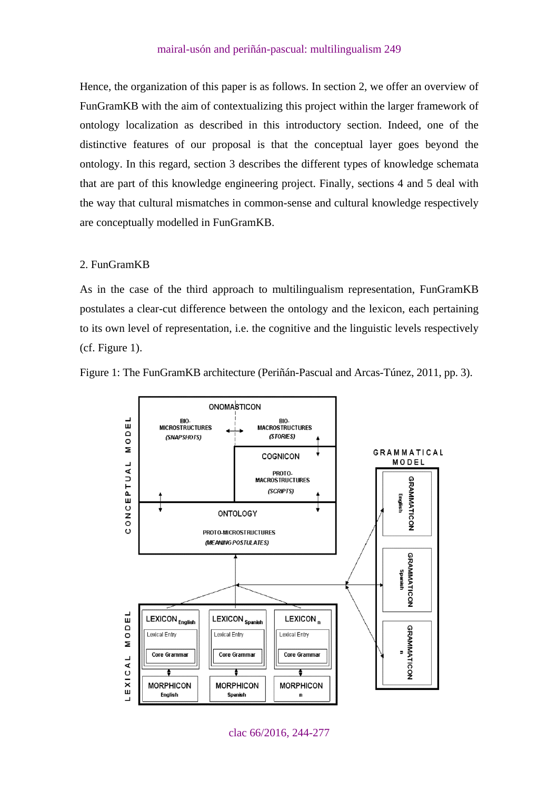<span id="page-5-0"></span>Hence, the organization of this paper is as follows. In section 2, we offer an overview of FunGramKB with the aim of contextualizing this project within the larger framework of ontology localization as described in this introductory section. Indeed, one of the distinctive features of our proposal is that the conceptual layer goes beyond the ontology. In this regard, section 3 describes the different types of knowledge schemata that are part of this knowledge engineering project. Finally, sections 4 and 5 deal with the way that cultural mismatches in common-sense and cultural knowledge respectively are conceptually modelled in FunGramKB.

### 2. FunGramKB

As in the case of the third approach to multilingualism representation, FunGramKB postulates a clear-cut difference between the ontology and the lexicon, each pertaining to its own level of representation, i.e. the cognitive and the linguistic levels respectively (cf. Figure 1).





clac 66/2016, 244-277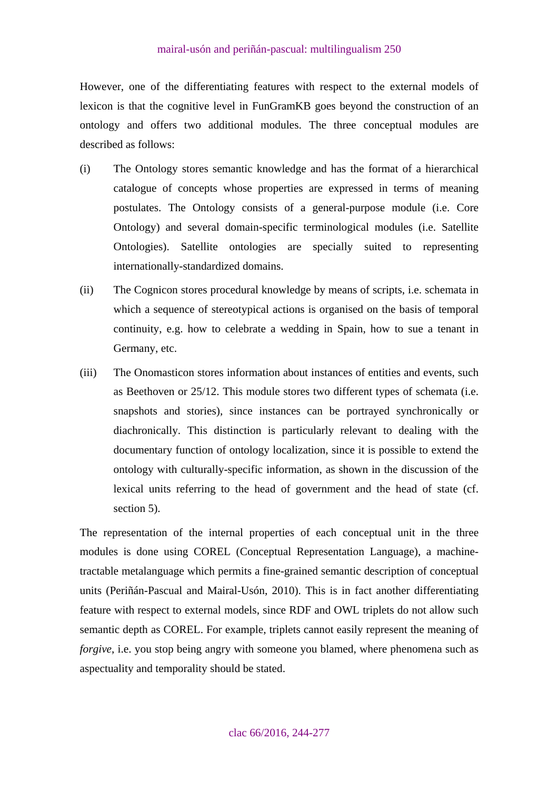However, one of the differentiating features with respect to the external models of lexicon is that the cognitive level in FunGramKB goes beyond the construction of an ontology and offers two additional modules. The three conceptual modules are described as follows:

- (i) The Ontology stores semantic knowledge and has the format of a hierarchical catalogue of concepts whose properties are expressed in terms of meaning postulates. The Ontology consists of a general-purpose module (i.e. Core Ontology) and several domain-specific terminological modules (i.e. Satellite Ontologies). Satellite ontologies are specially suited to representing internationally-standardized domains.
- (ii) The Cognicon stores procedural knowledge by means of scripts, i.e. schemata in which a sequence of stereotypical actions is organised on the basis of temporal continuity, e.g. how to celebrate a wedding in Spain, how to sue a tenant in Germany, etc.
- (iii) The Onomasticon stores information about instances of entities and events, such as Beethoven or 25/12. This module stores two different types of schemata (i.e. snapshots and stories), since instances can be portrayed synchronically or diachronically. This distinction is particularly relevant to dealing with the documentary function of ontology localization, since it is possible to extend the ontology with culturally-specific information, as shown in the discussion of the lexical units referring to the head of government and the head of state (cf. section 5).

The representation of the internal properties of each conceptual unit in the three modules is done using COREL (Conceptual Representation Language), a machinetractable metalanguage which permits a fine-grained semantic description of conceptual units (Periñán-Pascual and Mairal-Usón, 2010). This is in fact another differentiating feature with respect to external models, since RDF and OWL triplets do not allow such semantic depth as COREL. For example, triplets cannot easily represent the meaning of *forgive*, i.e. you stop being angry with someone you blamed, where phenomena such as aspectuality and temporality should be stated.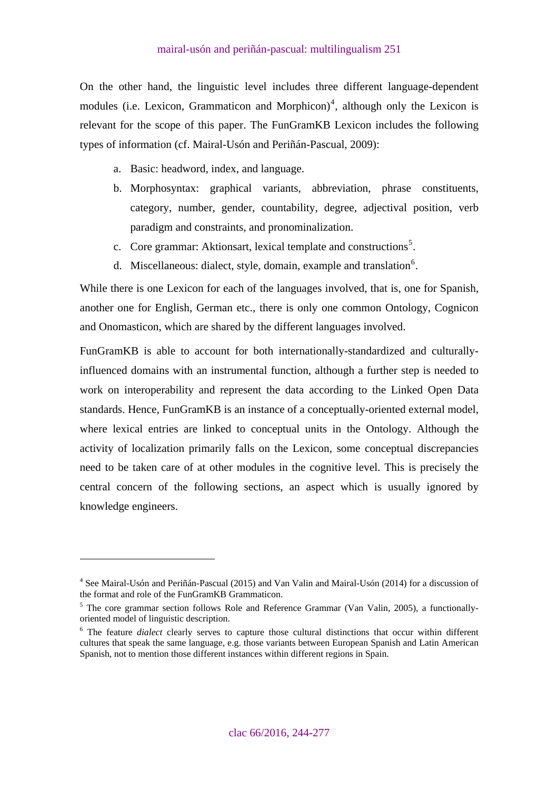On the other hand, the linguistic level includes three different language-dependent modules (i.e. Lexicon, Grammaticon and Morphicon)<sup>[4](#page-7-0)</sup>, although only the Lexicon is relevant for the scope of this paper. The FunGramKB Lexicon includes the following types of information (cf. Mairal-Usón and Periñán-Pascual, 2009):

- a. Basic: headword, index, and language.
- b. Morphosyntax: graphical variants, abbreviation, phrase constituents, category, number, gender, countability, degree, adjectival position, verb paradigm and constraints, and pronominalization.
- c. Core grammar: Aktionsart, lexical template and constructions<sup>[5](#page-7-1)</sup>.
- d. Miscellaneous: dialect, style, domain, example and translation $6$ .

While there is one Lexicon for each of the languages involved, that is, one for Spanish, another one for English, German etc., there is only one common Ontology, Cognicon and Onomasticon, which are shared by the different languages involved.

FunGramKB is able to account for both internationally-standardized and culturallyinfluenced domains with an instrumental function, although a further step is needed to work on interoperability and represent the data according to the Linked Open Data standards. Hence, FunGramKB is an instance of a conceptually-oriented external model, where lexical entries are linked to conceptual units in the Ontology. Although the activity of localization primarily falls on the Lexicon, some conceptual discrepancies need to be taken care of at other modules in the cognitive level. This is precisely the central concern of the following sections, an aspect which is usually ignored by knowledge engineers.

 $\overline{a}$ 

<span id="page-7-0"></span><sup>&</sup>lt;sup>4</sup> See Mairal-Usón and Periñán-Pascual (2015) and Van Valin and Mairal-Usón (2014) for a discussion of the format and role of the FunGramKB Grammaticon.

<span id="page-7-1"></span><sup>&</sup>lt;sup>5</sup> The core grammar section follows Role and Reference Grammar (Van Valin, 2005), a functionallyoriented model of linguistic description.

<span id="page-7-2"></span><sup>&</sup>lt;sup>6</sup> The feature *dialect* clearly serves to capture those cultural distinctions that occur within different cultures that speak the same language, e.g. those variants between European Spanish and Latin American Spanish, not to mention those different instances within different regions in Spain.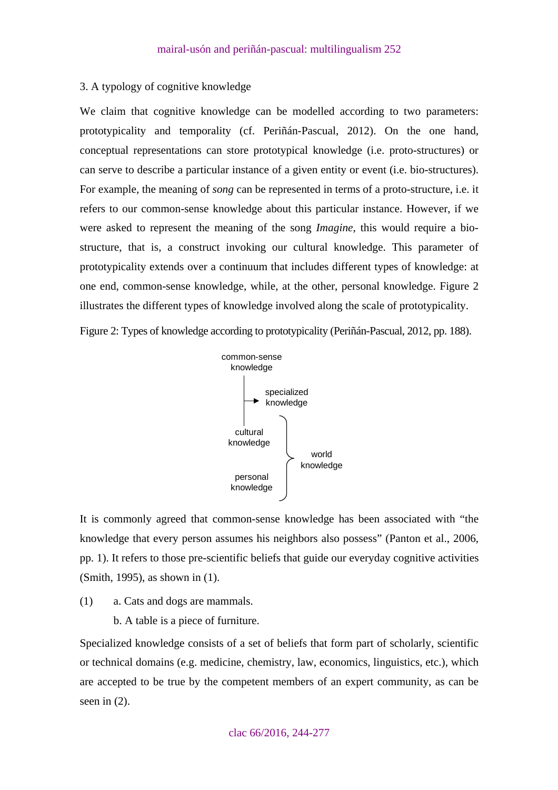### <span id="page-8-0"></span>3. A typology of cognitive knowledge

We claim that cognitive knowledge can be modelled according to two parameters: prototypicality and temporality (cf. Periñán-Pascual, 2012). On the one hand, conceptual representations can store prototypical knowledge (i.e. proto-structures) or can serve to describe a particular instance of a given entity or event (i.e. bio-structures). For example, the meaning of *song* can be represented in terms of a proto-structure, i.e. it refers to our common-sense knowledge about this particular instance. However, if we were asked to represent the meaning of the song *Imagine*, this would require a biostructure, that is, a construct invoking our cultural knowledge. This parameter of prototypicality extends over a continuum that includes different types of knowledge: at one end, common-sense knowledge, while, at the other, personal knowledge. Figure 2 illustrates the different types of knowledge involved along the scale of prototypicality.

Figure 2: Types of knowledge according to prototypicality (Periñán-Pascual, 2012, pp. 188).



It is commonly agreed that common-sense knowledge has been associated with "the knowledge that every person assumes his neighbors also possess" (Panton et al., 2006, pp. 1). It refers to those pre-scientific beliefs that guide our everyday cognitive activities (Smith, 1995), as shown in (1).

(1) a. Cats and dogs are mammals.

b. A table is a piece of furniture.

Specialized knowledge consists of a set of beliefs that form part of scholarly, scientific or technical domains (e.g. medicine, chemistry, law, economics, linguistics, etc.), which are accepted to be true by the competent members of an expert community, as can be seen in  $(2)$ .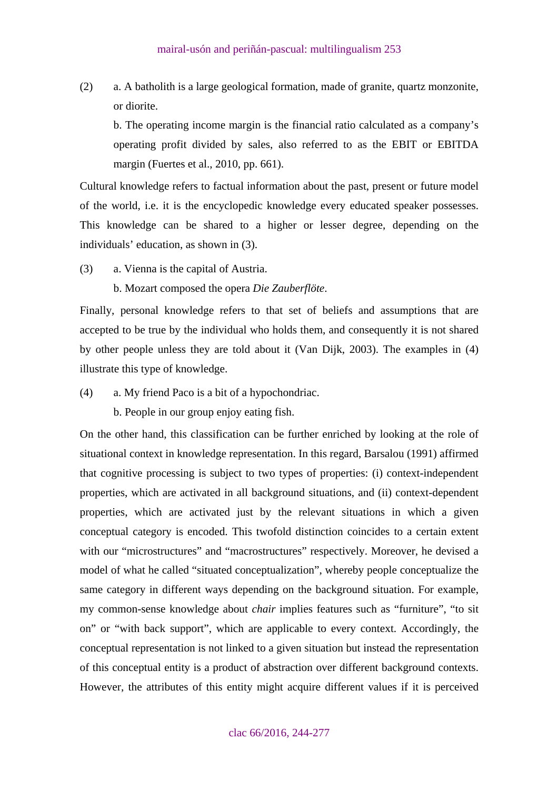(2) a. A batholith is a large geological formation, made of granite, quartz monzonite, or diorite.

 b. The operating income margin is the financial ratio calculated as a company's operating profit divided by sales, also referred to as the EBIT or EBITDA margin (Fuertes et al., 2010, pp. 661).

Cultural knowledge refers to factual information about the past, present or future model of the world, i.e. it is the encyclopedic knowledge every educated speaker possesses. This knowledge can be shared to a higher or lesser degree, depending on the individuals' education, as shown in (3).

- (3) a. Vienna is the capital of Austria.
	- b. Mozart composed the opera *Die Zauberflöte*.

Finally, personal knowledge refers to that set of beliefs and assumptions that are accepted to be true by the individual who holds them, and consequently it is not shared by other people unless they are told about it (Van Dijk, 2003). The examples in (4) illustrate this type of knowledge.

(4) a. My friend Paco is a bit of a hypochondriac.

b. People in our group enjoy eating fish.

On the other hand, this classification can be further enriched by looking at the role of situational context in knowledge representation. In this regard, Barsalou (1991) affirmed that cognitive processing is subject to two types of properties: (i) context-independent properties, which are activated in all background situations, and (ii) context-dependent properties, which are activated just by the relevant situations in which a given conceptual category is encoded. This twofold distinction coincides to a certain extent with our "microstructures" and "macrostructures" respectively. Moreover, he devised a model of what he called "situated conceptualization", whereby people conceptualize the same category in different ways depending on the background situation. For example, my common-sense knowledge about *chair* implies features such as "furniture", "to sit on" or "with back support", which are applicable to every context. Accordingly, the conceptual representation is not linked to a given situation but instead the representation of this conceptual entity is a product of abstraction over different background contexts. However, the attributes of this entity might acquire different values if it is perceived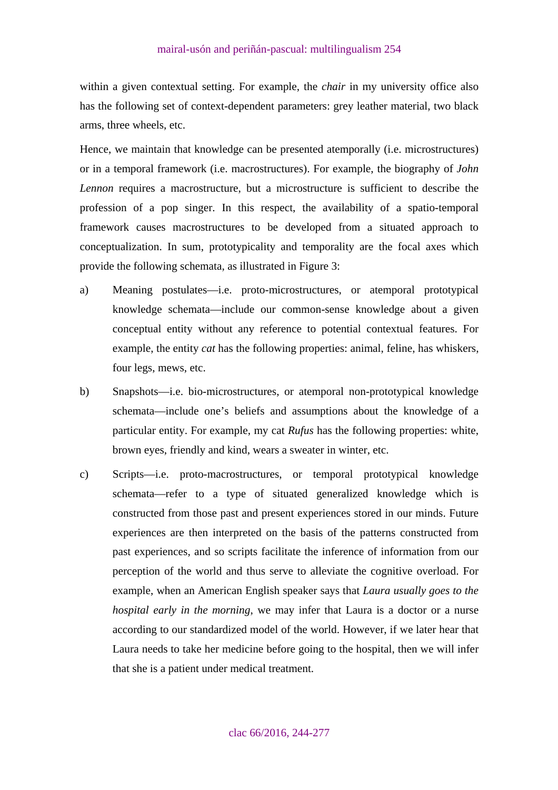within a given contextual setting. For example, the *chair* in my university office also has the following set of context-dependent parameters: grey leather material, two black arms, three wheels, etc.

Hence, we maintain that knowledge can be presented atemporally (i.e. microstructures) or in a temporal framework (i.e. macrostructures). For example, the biography of *John Lennon* requires a macrostructure, but a microstructure is sufficient to describe the profession of a pop singer. In this respect, the availability of a spatio-temporal framework causes macrostructures to be developed from a situated approach to conceptualization. In sum, prototypicality and temporality are the focal axes which provide the following schemata, as illustrated in Figure 3:

- a) Meaning postulates—i.e. proto-microstructures, or atemporal prototypical knowledge schemata—include our common-sense knowledge about a given conceptual entity without any reference to potential contextual features. For example, the entity *cat* has the following properties: animal, feline, has whiskers, four legs, mews, etc.
- b) Snapshots—i.e. bio-microstructures, or atemporal non-prototypical knowledge schemata—include one's beliefs and assumptions about the knowledge of a particular entity. For example, my cat *Rufus* has the following properties: white, brown eyes, friendly and kind, wears a sweater in winter, etc.
- c) Scripts—i.e. proto-macrostructures, or temporal prototypical knowledge schemata—refer to a type of situated generalized knowledge which is constructed from those past and present experiences stored in our minds. Future experiences are then interpreted on the basis of the patterns constructed from past experiences, and so scripts facilitate the inference of information from our perception of the world and thus serve to alleviate the cognitive overload. For example, when an American English speaker says that *Laura usually goes to the hospital early in the morning*, we may infer that Laura is a doctor or a nurse according to our standardized model of the world. However, if we later hear that Laura needs to take her medicine before going to the hospital, then we will infer that she is a patient under medical treatment.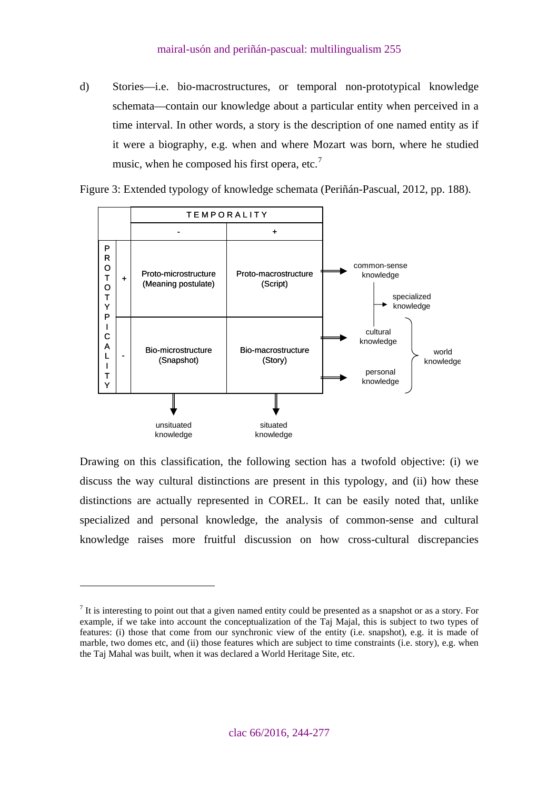d) Stories—i.e. bio-macrostructures, or temporal non-prototypical knowledge schemata—contain our knowledge about a particular entity when perceived in a time interval. In other words, a story is the description of one named entity as if it were a biography, e.g. when and where Mozart was born, where he studied music, when he composed his first opera, etc.<sup>[7](#page-11-0)</sup>



Figure 3: Extended typology of knowledge schemata (Periñán-Pascual, 2012, pp. 188).

Drawing on this classification, the following section has a twofold objective: (i) we discuss the way cultural distinctions are present in this typology, and (ii) how these distinctions are actually represented in COREL. It can be easily noted that, unlike specialized and personal knowledge, the analysis of common-sense and cultural knowledge raises more fruitful discussion on how cross-cultural discrepancies

 $\overline{a}$ 

<span id="page-11-0"></span> $<sup>7</sup>$  It is interesting to point out that a given named entity could be presented as a snapshot or as a story. For</sup> example, if we take into account the conceptualization of the Taj Majal, this is subject to two types of features: (i) those that come from our synchronic view of the entity (i.e. snapshot), e.g. it is made of marble, two domes etc, and (ii) those features which are subject to time constraints (i.e. story), e.g. when the Taj Mahal was built, when it was declared a World Heritage Site, etc.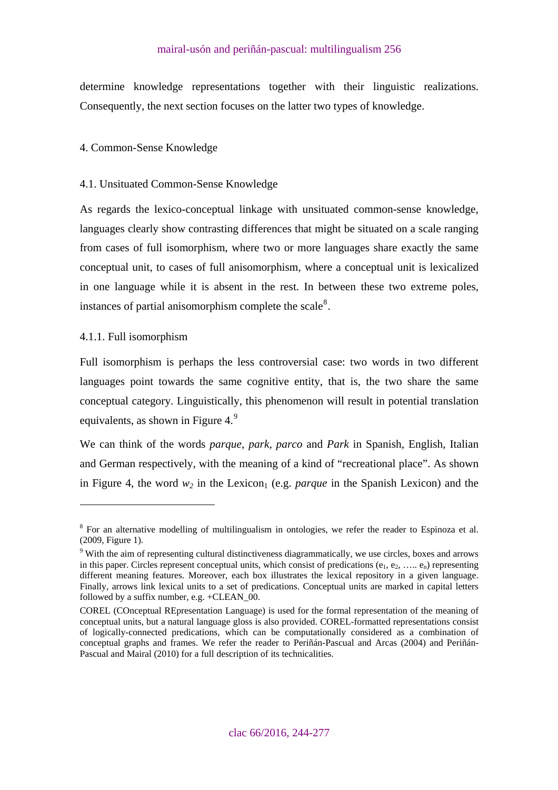<span id="page-12-0"></span>determine knowledge representations together with their linguistic realizations. Consequently, the next section focuses on the latter two types of knowledge.

# 4. Common-Sense Knowledge

# 4.1. Unsituated Common-Sense Knowledge

As regards the lexico-conceptual linkage with unsituated common-sense knowledge, languages clearly show contrasting differences that might be situated on a scale ranging from cases of full isomorphism, where two or more languages share exactly the same conceptual unit, to cases of full anisomorphism, where a conceptual unit is lexicalized in one language while it is absent in the rest. In between these two extreme poles, instances of partial anisomorphism complete the scale $8$ .

# 4.1.1. Full isomorphism

 $\overline{a}$ 

Full isomorphism is perhaps the less controversial case: two words in two different languages point towards the same cognitive entity, that is, the two share the same conceptual category. Linguistically, this phenomenon will result in potential translation equivalents, as shown in Figure 4.<sup>[9](#page-12-2)</sup>

We can think of the words *parque, park, parco* and *Park* in Spanish, English, Italian and German respectively, with the meaning of a kind of "recreational place". As shown in Figure 4, the word  $w_2$  in the Lexicon<sub>1</sub> (e.g. *parque* in the Spanish Lexicon) and the

<span id="page-12-1"></span><sup>&</sup>lt;sup>8</sup> For an alternative modelling of multilingualism in ontologies, we refer the reader to Espinoza et al. (2009, Figure 1).

<span id="page-12-2"></span><sup>&</sup>lt;sup>9</sup> With the aim of representing cultural distinctiveness diagrammatically, we use circles, boxes and arrows in this paper. Circles represent conceptual units, which consist of predications  $(e_1, e_2, \ldots, e_n)$  representing different meaning features. Moreover, each box illustrates the lexical repository in a given language. Finally, arrows link lexical units to a set of predications. Conceptual units are marked in capital letters followed by a suffix number, e.g. +CLEAN\_00.

COREL (COnceptual REpresentation Language) is used for the formal representation of the meaning of conceptual units, but a natural language gloss is also provided. COREL-formatted representations consist of logically-connected predications, which can be computationally considered as a combination of conceptual graphs and frames. We refer the reader to Periñán-Pascual and Arcas (2004) and Periñán-Pascual and Mairal (2010) for a full description of its technicalities.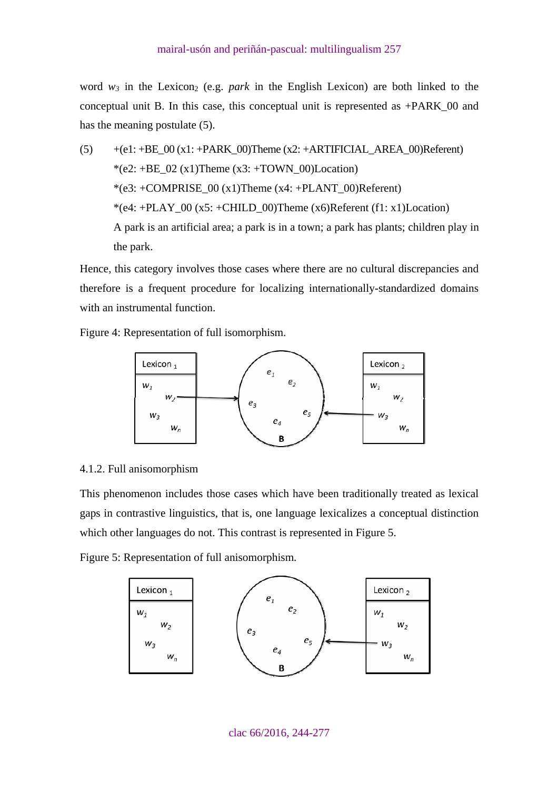<span id="page-13-0"></span>word  $w_3$  in the Lexicon<sub>2</sub> (e.g. *park* in the English Lexicon) are both linked to the conceptual unit B. In this case, this conceptual unit is represented as +PARK\_00 and has the meaning postulate (5).

 $(5)$  +(e1: +BE\_00 (x1: +PARK\_00)Theme (x2: +ARTIFICIAL\_AREA\_00)Referent) \*(e2: +BE\_02 (x1)Theme (x3: +TOWN\_00)Location)  $*(e3: +COMPRISE_00(x1)$ Theme  $(x4: +PLANT_00)$ Referent) \*(e4: +PLAY\_00 (x5: +CHILD\_00)Theme (x6)Referent (f1: x1)Location) A park is an artificial area; a park is in a town; a park has plants; children play in the park.

Hence, this category involves those cases where there are no cultural discrepancies and therefore is a frequent procedure for localizing internationally-standardized domains with an instrumental function.

Figure 4: Representation of full isomorphism.



### 4.1.2. Full anisomorphism

This phenomenon includes those cases which have been traditionally treated as lexical gaps in contrastive linguistics, that is, one language lexicalizes a conceptual distinction which other languages do not. This contrast is represented in Figure 5.

Figure 5: Representation of full anisomorphism.

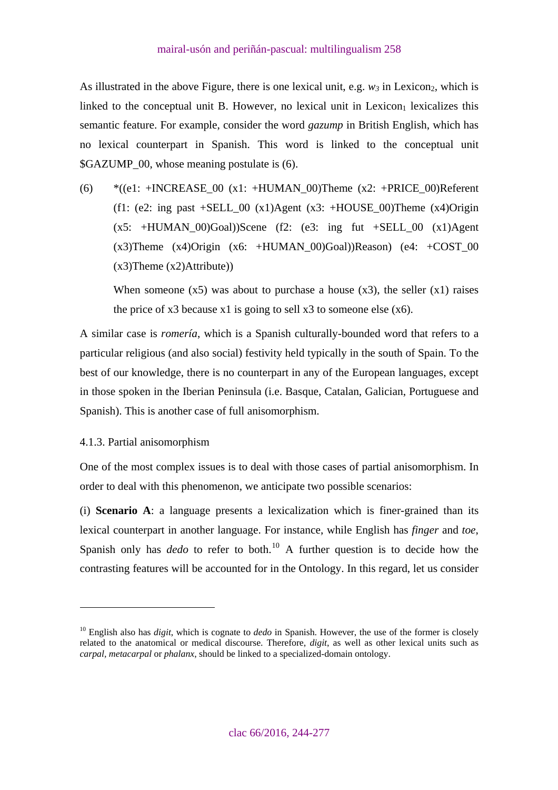<span id="page-14-0"></span>As illustrated in the above Figure, there is one lexical unit, e.g.  $w_3$  in Lexicon<sub>2</sub>, which is linked to the conceptual unit B. However, no lexical unit in Lexicon $<sub>1</sub>$  lexicalizes this</sub> semantic feature. For example, consider the word *gazump* in British English, which has no lexical counterpart in Spanish. This word is linked to the conceptual unit \$GAZUMP\_00, whose meaning postulate is (6).

(6)  $*(e1: +INCREASE_00 (x1: +HUMAN_00)$ Theme  $(x2: +PRICE_00)$ Referent (f1: (e2: ing past +SELL 00 (x1)Agent (x3: +HOUSE 00)Theme (x4)Origin  $(x5: +HUMAN_00)$ Goal))Scene (f2: (e3: ing fut  $+SELL_00$   $(x1)$ Agent (x3)Theme (x4)Origin (x6: +HUMAN\_00)Goal))Reason) (e4: +COST\_00  $(x3)$ Theme  $(x2)$ Attribute))

When someone  $(x5)$  was about to purchase a house  $(x3)$ , the seller  $(x1)$  raises the price of  $x3$  because  $x1$  is going to sell  $x3$  to someone else  $(x6)$ .

A similar case is *romería*, which is a Spanish culturally-bounded word that refers to a particular religious (and also social) festivity held typically in the south of Spain. To the best of our knowledge, there is no counterpart in any of the European languages, except in those spoken in the Iberian Peninsula (i.e. Basque, Catalan, Galician, Portuguese and Spanish). This is another case of full anisomorphism.

# 4.1.3. Partial anisomorphism

 $\overline{a}$ 

One of the most complex issues is to deal with those cases of partial anisomorphism. In order to deal with this phenomenon, we anticipate two possible scenarios:

(i) **Scenario A**: a language presents a lexicalization which is finer-grained than its lexical counterpart in another language. For instance, while English has *finger* and *toe*, Spanish only has  $dedo$  to refer to both.<sup>[10](#page-14-1)</sup> A further question is to decide how the contrasting features will be accounted for in the Ontology. In this regard, let us consider

<span id="page-14-1"></span><sup>10</sup> English also has *digit*, which is cognate to *dedo* in Spanish. However, the use of the former is closely related to the anatomical or medical discourse. Therefore, *digit*, as well as other lexical units such as *carpal, metacarpal* or *phalanx*, should be linked to a specialized-domain ontology.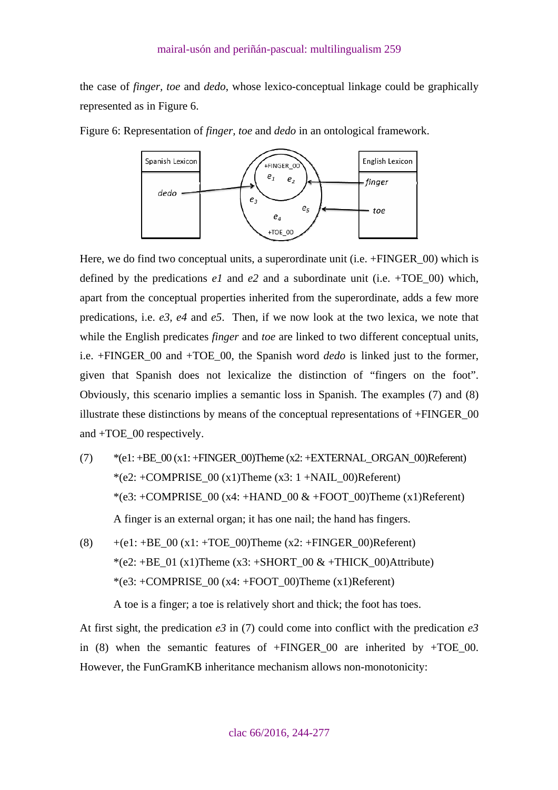the case of *finger, toe* and *dedo*, whose lexico-conceptual linkage could be graphically represented as in Figure 6.

Figure 6: Representation of *finger, toe* and *dedo* in an ontological framework.



Here, we do find two conceptual units, a superordinate unit (i.e. +FINGER 00) which is defined by the predications  $e1$  and  $e2$  and a subordinate unit (i.e.  $+TOE$  00) which, apart from the conceptual properties inherited from the superordinate, adds a few more predications, i.e. *e3, e4* and *e5*. Then, if we now look at the two lexica, we note that while the English predicates *finger* and *toe* are linked to two different conceptual units, i.e. +FINGER\_00 and +TOE\_00, the Spanish word *dedo* is linked just to the former, given that Spanish does not lexicalize the distinction of "fingers on the foot". Obviously, this scenario implies a semantic loss in Spanish. The examples (7) and (8) illustrate these distinctions by means of the conceptual representations of +FINGER\_00 and +TOE\_00 respectively.

- (7)  $*(e1: +BE_00(x1: +FINGER_00)$ Theme (x2: +EXTERNAL\_ORGAN\_00)Referent) \*(e2: +COMPRISE  $00 \times 1$ )Theme  $(x3: 1 + NAIL_00)$ Referent)  $*(e3: +COMPRISE_00 (x4: +HAND_00 & +FOOT_00)$ Theme  $(x1)$ Referent) A finger is an external organ; it has one nail; the hand has fingers.
- (8)  $+(e1: +BE\_00 (x1: +TOE\_00)$ Theme  $(x2: +FINGER\_00)$ Referent) \*(e2: +BE\_01 (x1)Theme (x3: +SHORT\_00 & +THICK\_00)Attribute) \*(e3: +COMPRISE\_00 (x4: +FOOT\_00)Theme (x1)Referent)

A toe is a finger; a toe is relatively short and thick; the foot has toes.

At first sight, the predication  $e^3$  in (7) could come into conflict with the predication  $e^3$ in (8) when the semantic features of  $+FINGER$  00 are inherited by  $+TOE$  00. However, the FunGramKB inheritance mechanism allows non-monotonicity: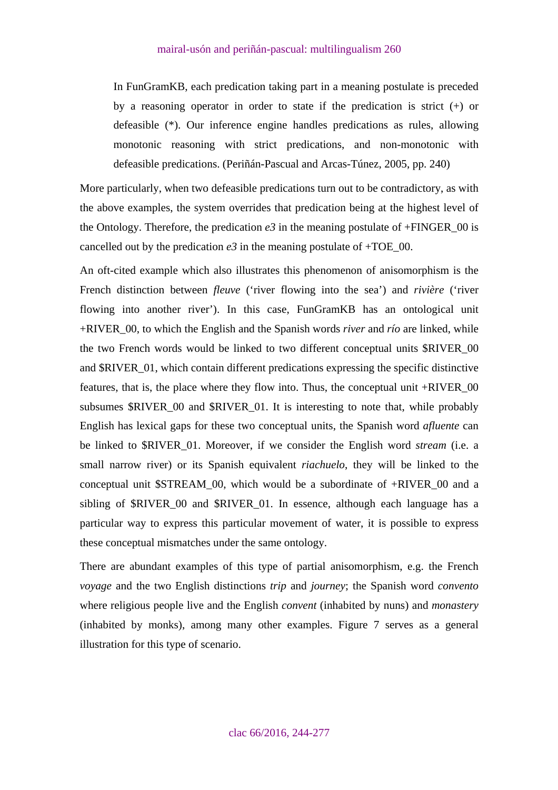In FunGramKB, each predication taking part in a meaning postulate is preceded by a reasoning operator in order to state if the predication is strict (+) or defeasible (\*). Our inference engine handles predications as rules, allowing monotonic reasoning with strict predications, and non-monotonic with defeasible predications. (Periñán-Pascual and Arcas-Túnez, 2005, pp. 240)

More particularly, when two defeasible predications turn out to be contradictory, as with the above examples, the system overrides that predication being at the highest level of the Ontology. Therefore, the predication  $e3$  in the meaning postulate of +FINGER\_00 is cancelled out by the predication  $e3$  in the meaning postulate of  $+TOE_0$ .

An oft-cited example which also illustrates this phenomenon of anisomorphism is the French distinction between *fleuve* ('river flowing into the sea') and *rivière* ('river flowing into another river'). In this case, FunGramKB has an ontological unit +RIVER\_00, to which the English and the Spanish words *river* and *río* are linked, while the two French words would be linked to two different conceptual units \$RIVER\_00 and \$RIVER\_01, which contain different predications expressing the specific distinctive features, that is, the place where they flow into. Thus, the conceptual unit +RIVER\_00 subsumes \$RIVER\_00 and \$RIVER\_01. It is interesting to note that, while probably English has lexical gaps for these two conceptual units, the Spanish word *afluente* can be linked to \$RIVER\_01. Moreover, if we consider the English word *stream* (i.e. a small narrow river) or its Spanish equivalent *riachuelo*, they will be linked to the conceptual unit \$STREAM\_00, which would be a subordinate of +RIVER\_00 and a sibling of \$RIVER 00 and \$RIVER 01. In essence, although each language has a particular way to express this particular movement of water, it is possible to express these conceptual mismatches under the same ontology.

There are abundant examples of this type of partial anisomorphism, e.g. the French *voyage* and the two English distinctions *trip* and *journey*; the Spanish word *convento* where religious people live and the English *convent* (inhabited by nuns) and *monastery* (inhabited by monks), among many other examples. Figure 7 serves as a general illustration for this type of scenario.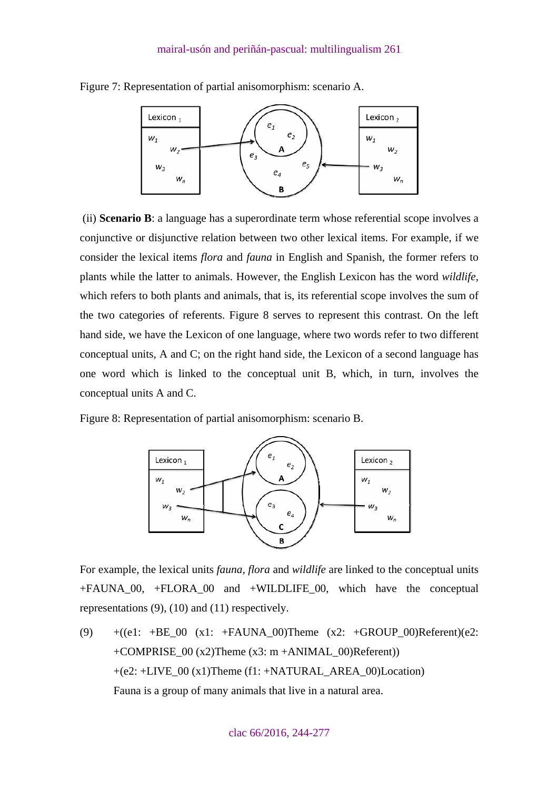

Figure 7: Representation of partial anisomorphism: scenario A.

 (ii) **Scenario B**: a language has a superordinate term whose referential scope involves a conjunctive or disjunctive relation between two other lexical items. For example, if we consider the lexical items *flora* and *fauna* in English and Spanish, the former refers to plants while the latter to animals. However, the English Lexicon has the word *wildlife*, which refers to both plants and animals, that is, its referential scope involves the sum of the two categories of referents. Figure 8 serves to represent this contrast. On the left hand side, we have the Lexicon of one language, where two words refer to two different conceptual units, A and C; on the right hand side, the Lexicon of a second language has one word which is linked to the conceptual unit B, which, in turn, involves the conceptual units A and C.

Figure 8: Representation of partial anisomorphism: scenario B.



For example, the lexical units *fauna, flora* and *wildlife* are linked to the conceptual units +FAUNA\_00, +FLORA\_00 and +WILDLIFE\_00, which have the conceptual representations (9), (10) and (11) respectively.

(9)  $+(e1: +BE_00 (x1: +FAUNA_00)$ Theme  $(x2: +GROUP_00)$ Referent) $(e2:$ +COMPRISE  $00 (x2)$ Theme  $(x3: m + ANIMAL_00)$ Referent)) +(e2: +LIVE\_00 (x1)Theme (f1: +NATURAL\_AREA\_00)Location) Fauna is a group of many animals that live in a natural area.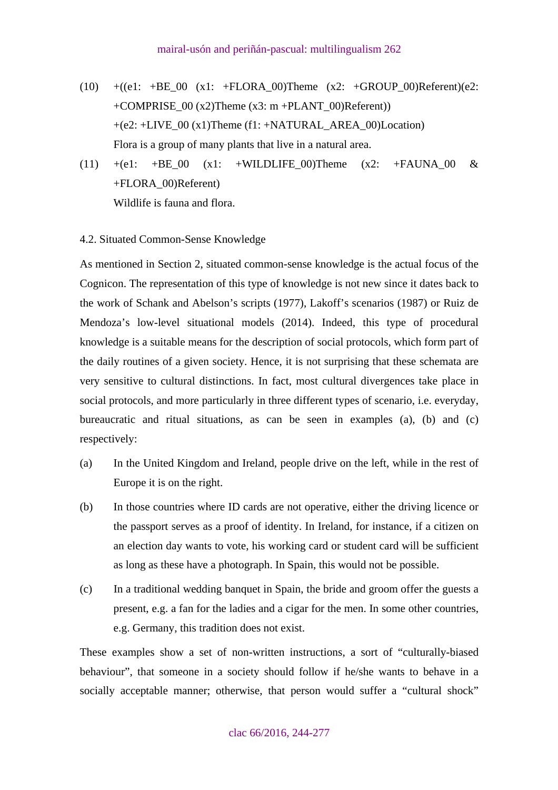- <span id="page-18-0"></span> $(10)$  +((e1: +BE\_00 (x1: +FLORA\_00)Theme (x2: +GROUP\_00)Referent)(e2: +COMPRISE\_00 (x2)Theme (x3: m +PLANT\_00)Referent))  $+(e2: +LIVE 00 (x1)$ Theme (f1:  $+NATURAL$  AREA 00)Location) Flora is a group of many plants that live in a natural area.
- (11)  $+(e1: +BE_00)(x1: +WILDLIFE_00)$ Theme  $(x2: +FAUNA_00 & &$ +FLORA\_00)Referent) Wildlife is fauna and flora.
- 4.2. Situated Common-Sense Knowledge

As mentioned in Section 2, situated common-sense knowledge is the actual focus of the Cognicon. The representation of this type of knowledge is not new since it dates back to the work of Schank and Abelson's scripts (1977), Lakoff's scenarios (1987) or Ruiz de Mendoza's low-level situational models (2014). Indeed, this type of procedural knowledge is a suitable means for the description of social protocols, which form part of the daily routines of a given society. Hence, it is not surprising that these schemata are very sensitive to cultural distinctions. In fact, most cultural divergences take place in social protocols, and more particularly in three different types of scenario, i.e. everyday, bureaucratic and ritual situations, as can be seen in examples (a), (b) and (c) respectively:

- (a) In the United Kingdom and Ireland, people drive on the left, while in the rest of Europe it is on the right.
- (b) In those countries where ID cards are not operative, either the driving licence or the passport serves as a proof of identity. In Ireland, for instance, if a citizen on an election day wants to vote, his working card or student card will be sufficient as long as these have a photograph. In Spain, this would not be possible.
- (c) In a traditional wedding banquet in Spain, the bride and groom offer the guests a present, e.g. a fan for the ladies and a cigar for the men. In some other countries, e.g. Germany, this tradition does not exist.

These examples show a set of non-written instructions, a sort of "culturally-biased behaviour", that someone in a society should follow if he/she wants to behave in a socially acceptable manner; otherwise, that person would suffer a "cultural shock"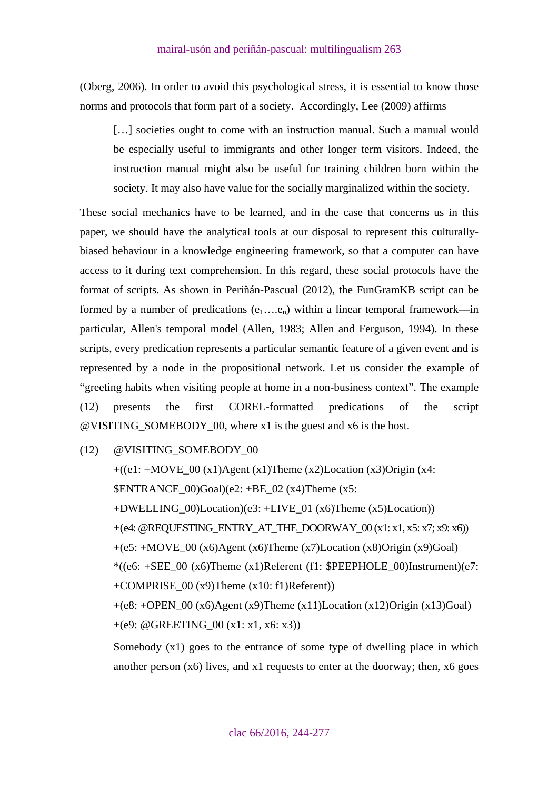(Oberg, 2006). In order to avoid this psychological stress, it is essential to know those norms and protocols that form part of a society. Accordingly, Lee (2009) affirms

[...] societies ought to come with an instruction manual. Such a manual would be especially useful to immigrants and other longer term visitors. Indeed, the instruction manual might also be useful for training children born within the society. It may also have value for the socially marginalized within the society.

These social mechanics have to be learned, and in the case that concerns us in this paper, we should have the analytical tools at our disposal to represent this culturallybiased behaviour in a knowledge engineering framework, so that a computer can have access to it during text comprehension. In this regard, these social protocols have the format of scripts. As shown in Periñán-Pascual (2012), the FunGramKB script can be formed by a number of predications  $(e_1...e_n)$  within a linear temporal framework—in particular, Allen's temporal model (Allen, 1983; Allen and Ferguson, 1994). In these scripts, every predication represents a particular semantic feature of a given event and is represented by a node in the propositional network. Let us consider the example of "greeting habits when visiting people at home in a non-business context". The example (12) presents the first COREL-formatted predications of the script @VISITING\_SOMEBODY\_00, where x1 is the guest and x6 is the host.

(12) @VISITING\_SOMEBODY\_00

 $+((e1: +Move_0 (x1) Agent (x1) Thene (x2)Location (x3) Origin (x4:$ \$ENTRANCE  $00$ )Goal)(e2: +BE 02 (x4)Theme (x5: +DWELLING\_00)Location)(e3: +LIVE\_01 (x6)Theme (x5)Location)) +(e4: @REQUESTING\_ENTRY\_AT\_THE\_DOORWAY\_00 (x1: x1, x5: x7; x9: x6))  $+(e5: +Move_00 (x6) Agent (x6) Thene (x7)Location (x8) Origin (x9)Goal)$  $*($ (e6:  $+$ SEE\_00 (x6)Theme (x1)Referent (f1:  $$PEEPHOLE_00)$ Instrument)(e7: +COMPRISE  $00 (x9)$ Theme  $(x10: f1)$ Referent))  $+(e8: +OPEN_00 (x6) Agent (x9) Then (x11)Location (x12) Origin (x13)Goal)$ +(e9: @GREETING\_00 (x1: x1, x6: x3))

Somebody  $(x1)$  goes to the entrance of some type of dwelling place in which another person  $(x6)$  lives, and  $x1$  requests to enter at the doorway; then,  $x6$  goes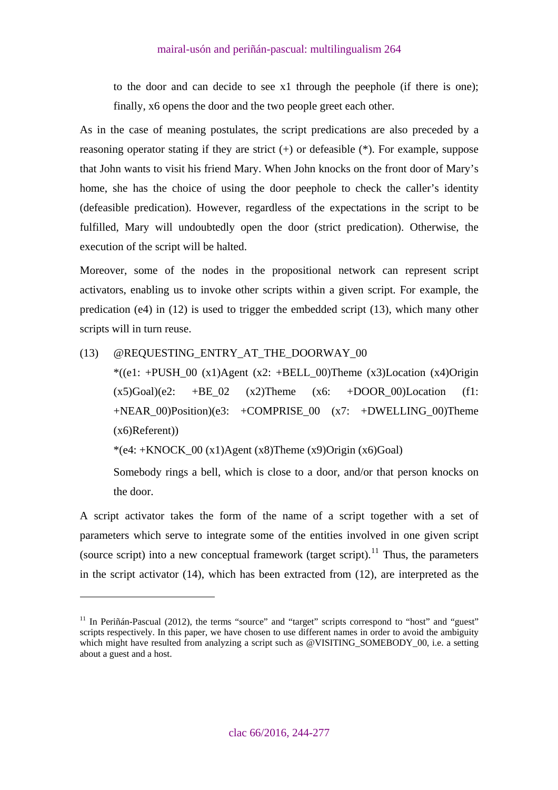to the door and can decide to see x1 through the peephole (if there is one); finally, x6 opens the door and the two people greet each other.

As in the case of meaning postulates, the script predications are also preceded by a reasoning operator stating if they are strict (+) or defeasible (\*). For example, suppose that John wants to visit his friend Mary. When John knocks on the front door of Mary's home, she has the choice of using the door peephole to check the caller's identity (defeasible predication). However, regardless of the expectations in the script to be fulfilled, Mary will undoubtedly open the door (strict predication). Otherwise, the execution of the script will be halted.

Moreover, some of the nodes in the propositional network can represent script activators, enabling us to invoke other scripts within a given script. For example, the predication (e4) in (12) is used to trigger the embedded script (13), which many other scripts will in turn reuse.

(13) @REQUESTING\_ENTRY\_AT\_THE\_DOORWAY\_00

 $\overline{a}$ 

 $*(e1: +PUSH_00 (x1)Agent (x2: +BELL_00)Thene (x3)Location (x4)Origin$  $(x5)$ Goal)(e2: +BE 02  $(x2)$ Theme  $(x6: +DOOR_0)$ Location (f1:  $+NEAR$  00)Position)(e3:  $+COMPRISE$  00 (x7:  $+DWELLING$  00)Theme (x6)Referent))

\*(e4:  $+$ KNOCK 00 (x1)Agent (x8)Theme (x9)Origin (x6)Goal)

Somebody rings a bell, which is close to a door, and/or that person knocks on the door.

A script activator takes the form of the name of a script together with a set of parameters which serve to integrate some of the entities involved in one given script (source script) into a new conceptual framework (target script).<sup>[11](#page-20-0)</sup> Thus, the parameters in the script activator (14), which has been extracted from (12), are interpreted as the

<span id="page-20-0"></span><sup>&</sup>lt;sup>11</sup> In Periñán-Pascual (2012), the terms "source" and "target" scripts correspond to "host" and "guest" scripts respectively. In this paper, we have chosen to use different names in order to avoid the ambiguity which might have resulted from analyzing a script such as @VISITING SOMEBODY 00, i.e. a setting about a guest and a host.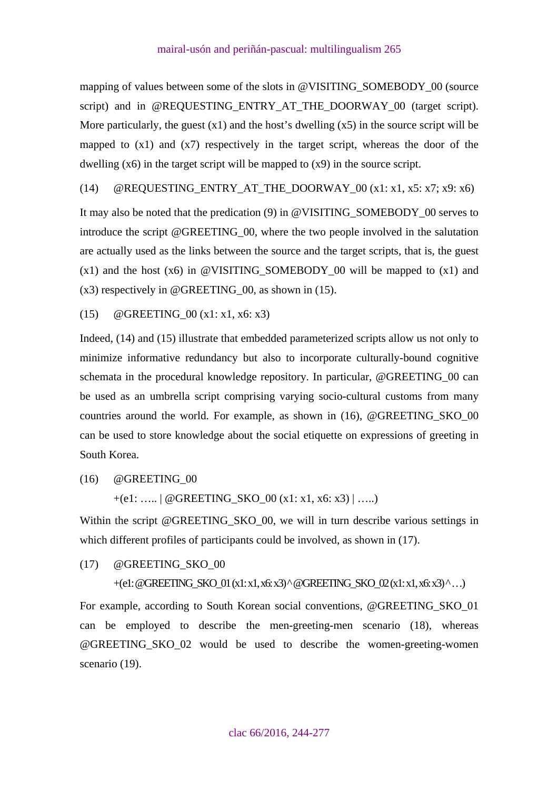mapping of values between some of the slots in @VISITING\_SOMEBODY\_00 (source script) and in @REQUESTING\_ENTRY\_AT\_THE\_DOORWAY\_00 (target script). More particularly, the guest  $(x1)$  and the host's dwelling  $(x5)$  in the source script will be mapped to  $(x1)$  and  $(x7)$  respectively in the target script, whereas the door of the dwelling (x6) in the target script will be mapped to (x9) in the source script.

(14)  $@REQUESTING_ENTRY_AT_THE_DOORWAY_00 (x1: x1, x5: x7; x9: x6)$ 

It may also be noted that the predication (9) in @VISITING\_SOMEBODY\_00 serves to introduce the script @GREETING\_00, where the two people involved in the salutation are actually used as the links between the source and the target scripts, that is, the guest  $(x1)$  and the host  $(x6)$  in @VISITING\_SOMEBODY\_00 will be mapped to  $(x1)$  and (x3) respectively in @GREETING\_00, as shown in (15).

(15)  $@GREFING$  00 (x1: x1, x6: x3)

Indeed, (14) and (15) illustrate that embedded parameterized scripts allow us not only to minimize informative redundancy but also to incorporate culturally-bound cognitive schemata in the procedural knowledge repository. In particular, @GREETING\_00 can be used as an umbrella script comprising varying socio-cultural customs from many countries around the world. For example, as shown in (16), @GREETING\_SKO\_00 can be used to store knowledge about the social etiquette on expressions of greeting in South Korea.

(16) @GREETING\_00

 $+(e1: \ldots | @GREFING_SKO_0( x1: x1, x6: x3) | \ldots )$ 

Within the script @GREETING\_SKO\_00, we will in turn describe various settings in which different profiles of participants could be involved, as shown in  $(17)$ .

(17) @GREETING\_SKO\_00

+(e1: @GREETING\_SKO\_01 (x1: x1, x6: x3) ^ @GREETING\_SKO\_02 (x1: x1, x6: x3) ^ …)

For example, according to South Korean social conventions, @GREETING\_SKO\_01 can be employed to describe the men-greeting-men scenario (18), whereas @GREETING\_SKO\_02 would be used to describe the women-greeting-women scenario (19).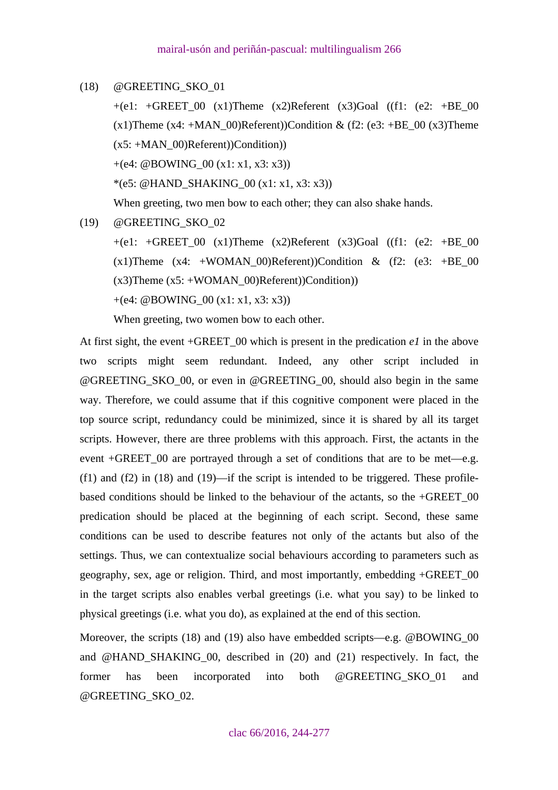(18) @GREETING\_SKO\_01

 $+(e1: +GREF_00(x1)$ Theme  $(x2)$ Referent  $(x3)$ Goal  $((f1: (e2: +BE_00$  $(x1)$ Theme  $(x4: +MAN_00)$ Referent))Condition & (f2: (e3: +BE 00  $(x3)$ Theme  $(x5: +MAN_00)$ Referent))Condition))

+(e4: @BOWING  $00 (x1: x1, x3: x3)$ )

\*(e5: @HAND\_SHAKING\_00 (x1: x1, x3: x3))

When greeting, two men bow to each other; they can also shake hands.

(19) @GREETING\_SKO\_02

 $+(e1: +GREF 00 (x1)$ Theme  $(x2)$ Referent  $(x3)Goal$  ((f1: (e2:  $+BE 00$ )  $(x1)$ Theme  $(x4: +WOMAN_00)$ Referent))Condition &  $(f2: (e3: +BE_00$  $(x3)$ Theme  $(x5: +WOMAN_00)$ Referent))Condition))

 $+(e4: @BOWING_0( x1: x1, x3: x3))$ 

When greeting, two women bow to each other.

At first sight, the event +GREET\_00 which is present in the predication *e1* in the above two scripts might seem redundant. Indeed, any other script included in @GREETING\_SKO\_00, or even in @GREETING\_00, should also begin in the same way. Therefore, we could assume that if this cognitive component were placed in the top source script, redundancy could be minimized, since it is shared by all its target scripts. However, there are three problems with this approach. First, the actants in the event +GREET 00 are portrayed through a set of conditions that are to be met—e.g.  $(f1)$  and  $(f2)$  in  $(18)$  and  $(19)$ —if the script is intended to be triggered. These profilebased conditions should be linked to the behaviour of the actants, so the +GREET\_00 predication should be placed at the beginning of each script. Second, these same conditions can be used to describe features not only of the actants but also of the settings. Thus, we can contextualize social behaviours according to parameters such as geography, sex, age or religion. Third, and most importantly, embedding +GREET\_00 in the target scripts also enables verbal greetings (i.e. what you say) to be linked to physical greetings (i.e. what you do), as explained at the end of this section.

Moreover, the scripts (18) and (19) also have embedded scripts—e.g. @BOWING\_00 and @HAND\_SHAKING\_00, described in (20) and (21) respectively. In fact, the former has been incorporated into both @GREETING\_SKO\_01 and @GREETING\_SKO\_02.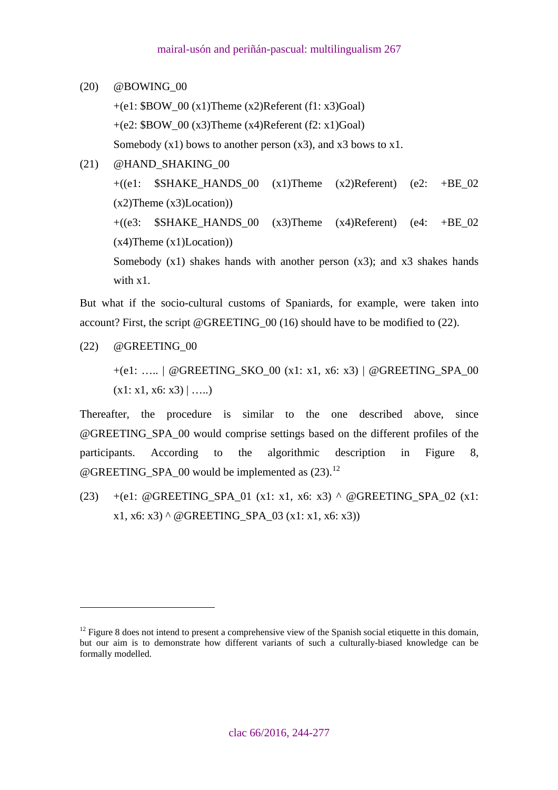# (20) @BOWING\_00

- $+(e1: $BOW_0( x1)$ Theme  $(x2)$ Referent  $(f1: x3)$ Goal) +(e2:  $$BOW~00(x3)$ Theme  $(x4)$ Referent (f2: x1)Goal) Somebody  $(x1)$  bows to another person  $(x3)$ , and  $x3$  bows to  $x1$ .
- (21) @HAND\_SHAKING\_00  $+($ (e1:  $$SHAKE_HANDS_00 (x1)Thene (x2)Referent) (e2: +BE_02$  $(x2)$ Theme  $(x3)$ Location))  $+(63:$  SSHAKE HANDS 00 (x3)Theme (x4)Referent) (e4:  $+BE$  02  $(x4)$ Theme  $(x1)$ Location) Somebody  $(x1)$  shakes hands with another person  $(x3)$ ; and  $x3$  shakes hands with x1.

But what if the socio-cultural customs of Spaniards, for example, were taken into account? First, the script @GREETING\_00 (16) should have to be modified to (22).

(22) @GREETING\_00

 $\overline{a}$ 

+(e1: ….. | @GREETING\_SKO\_00 (x1: x1, x6: x3) | @GREETING\_SPA\_00  $(x1: x1, x6: x3) | ...$ 

Thereafter, the procedure is similar to the one described above, since @GREETING\_SPA\_00 would comprise settings based on the different profiles of the participants. According to the algorithmic description in Figure 8, @GREETING\_SPA\_00 would be implemented as  $(23)$ .<sup>[12](#page-23-0)</sup>

(23) +(e1: @GREETING\_SPA\_01 (x1: x1, x6: x3) ^ @GREETING\_SPA\_02 (x1: x1, x6: x3) ^ @GREETING\_SPA\_03 (x1: x1, x6: x3))

<span id="page-23-0"></span> $12$  Figure 8 does not intend to present a comprehensive view of the Spanish social etiquette in this domain, but our aim is to demonstrate how different variants of such a culturally-biased knowledge can be formally modelled.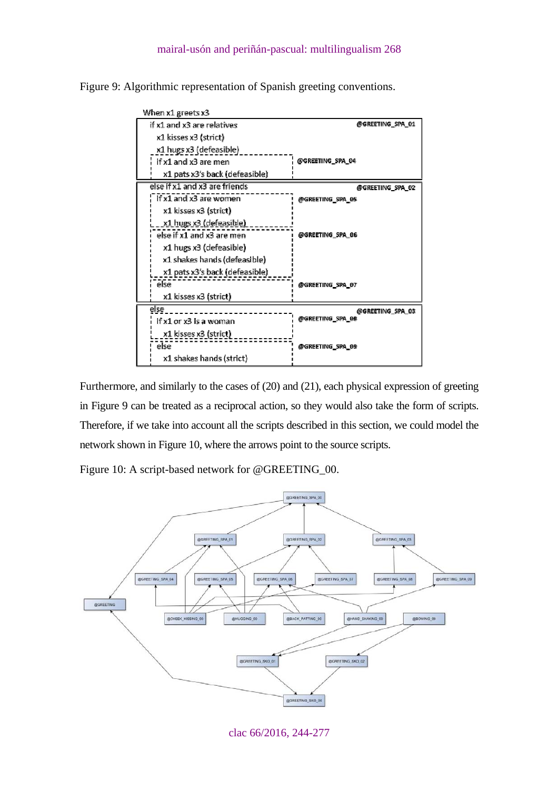Figure 9: Algorithmic representation of Spanish greeting conventions.

| When x1 greets x3              |                  |
|--------------------------------|------------------|
| if x1 and x3 are relatives     | @GREETING_SPA_01 |
| x1 kisses x3 (strict)          |                  |
| x1 hugs x3 (defeasible)        |                  |
| if x1 and x3 are men           | @GREETING_SPA_04 |
| x1 pats x3's back (defeasible) |                  |
| else if x1 and x3 are friends  | @GREETING_SPA_02 |
| if x1 and x3 are women         | @GREETING_SPA_05 |
| x1 kisses x3 (strict)          |                  |
| <u>x1 hugs x3 (defeasible)</u> |                  |
| else if x1 and x3 are men      | @GREETING_SPA_06 |
| x1 hugs x3 (defeasible)        |                  |
| x1 shakes hands (defeasible)   |                  |
| x1 pats x3's back (defeasible) |                  |
| else                           | @GREETING_SPA_07 |
| x1 kisses x3 (strict)          |                  |
| else                           | @GREETING SPA 03 |
| if x1 or x3 is a woman         | @GREETING SPA 08 |
| x1 kisses x3 (strict)          |                  |
| else                           | @GREETING_SPA_09 |
| x1 shakes hands (strict)       |                  |

Furthermore, and similarly to the cases of (20) and (21), each physical expression of greeting in Figure 9 can be treated as a reciprocal action, so they would also take the form of scripts. Therefore, if we take into account all the scripts described in this section, we could model the network shown in Figure 10, where the arrows point to the source scripts.

Figure 10: A script-based network for @GREETING\_00.



clac 66/2016, 244-277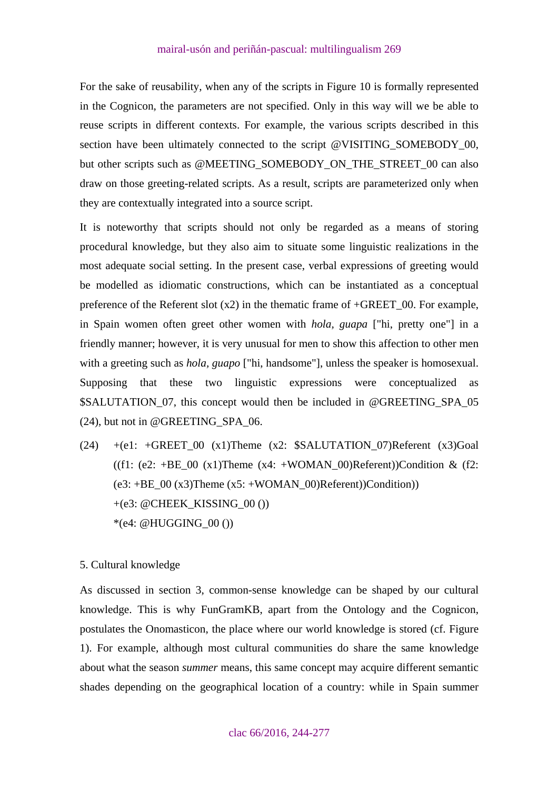<span id="page-25-0"></span>For the sake of reusability, when any of the scripts in Figure 10 is formally represented in the Cognicon, the parameters are not specified. Only in this way will we be able to reuse scripts in different contexts. For example, the various scripts described in this section have been ultimately connected to the script @VISITING\_SOMEBODY\_00, but other scripts such as @MEETING\_SOMEBODY\_ON\_THE\_STREET\_00 can also draw on those greeting-related scripts. As a result, scripts are parameterized only when they are contextually integrated into a source script.

It is noteworthy that scripts should not only be regarded as a means of storing procedural knowledge, but they also aim to situate some linguistic realizations in the most adequate social setting. In the present case, verbal expressions of greeting would be modelled as idiomatic constructions, which can be instantiated as a conceptual preference of the Referent slot  $(x2)$  in the thematic frame of +GREET\_00. For example, in Spain women often greet other women with *hola, guapa* ["hi, pretty one"] in a friendly manner; however, it is very unusual for men to show this affection to other men with a greeting such as *hola, guapo* ["hi, handsome"], unless the speaker is homosexual. Supposing that these two linguistic expressions were conceptualized as \$SALUTATION\_07, this concept would then be included in @GREETING\_SPA\_05 (24), but not in @GREETING\_SPA\_06.

(24)  $+(e1: +GREF_00 (x1)$ Theme (x2:  $$SALUTATION_07)$ Referent (x3)Goal ((f1: (e2: +BE\_00 (x1)Theme (x4: +WOMAN\_00)Referent))Condition & (f2:  $(e3: +BE_00 (x3)$ Theme  $(x5: +WOMAN_00)$ Referent))Condition))  $+(e3: @CHEEK$  KISSING 00 ()) \*(e4: @HUGGING\_00 ())

### 5. Cultural knowledge

As discussed in section 3, common-sense knowledge can be shaped by our cultural knowledge. This is why FunGramKB, apart from the Ontology and the Cognicon, postulates the Onomasticon, the place where our world knowledge is stored (cf. Figure 1). For example, although most cultural communities do share the same knowledge about what the season *summer* means, this same concept may acquire different semantic shades depending on the geographical location of a country: while in Spain summer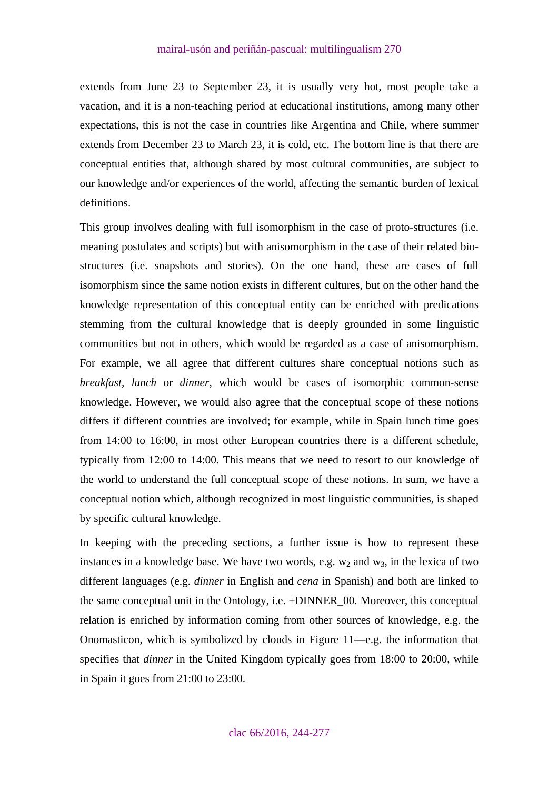extends from June 23 to September 23, it is usually very hot, most people take a vacation, and it is a non-teaching period at educational institutions, among many other expectations, this is not the case in countries like Argentina and Chile, where summer extends from December 23 to March 23, it is cold, etc. The bottom line is that there are conceptual entities that, although shared by most cultural communities, are subject to our knowledge and/or experiences of the world, affecting the semantic burden of lexical definitions.

This group involves dealing with full isomorphism in the case of proto-structures (i.e. meaning postulates and scripts) but with anisomorphism in the case of their related biostructures (i.e. snapshots and stories). On the one hand, these are cases of full isomorphism since the same notion exists in different cultures, but on the other hand the knowledge representation of this conceptual entity can be enriched with predications stemming from the cultural knowledge that is deeply grounded in some linguistic communities but not in others, which would be regarded as a case of anisomorphism. For example, we all agree that different cultures share conceptual notions such as *breakfast, lunch* or *dinner*, which would be cases of isomorphic common-sense knowledge. However, we would also agree that the conceptual scope of these notions differs if different countries are involved; for example, while in Spain lunch time goes from 14:00 to 16:00, in most other European countries there is a different schedule, typically from 12:00 to 14:00. This means that we need to resort to our knowledge of the world to understand the full conceptual scope of these notions. In sum, we have a conceptual notion which, although recognized in most linguistic communities, is shaped by specific cultural knowledge.

In keeping with the preceding sections, a further issue is how to represent these instances in a knowledge base. We have two words, e.g.  $w_2$  and  $w_3$ , in the lexica of two different languages (e.g. *dinner* in English and *cena* in Spanish) and both are linked to the same conceptual unit in the Ontology, i.e. +DINNER\_00. Moreover, this conceptual relation is enriched by information coming from other sources of knowledge, e.g. the Onomasticon, which is symbolized by clouds in Figure 11—e.g. the information that specifies that *dinner* in the United Kingdom typically goes from 18:00 to 20:00, while in Spain it goes from 21:00 to 23:00.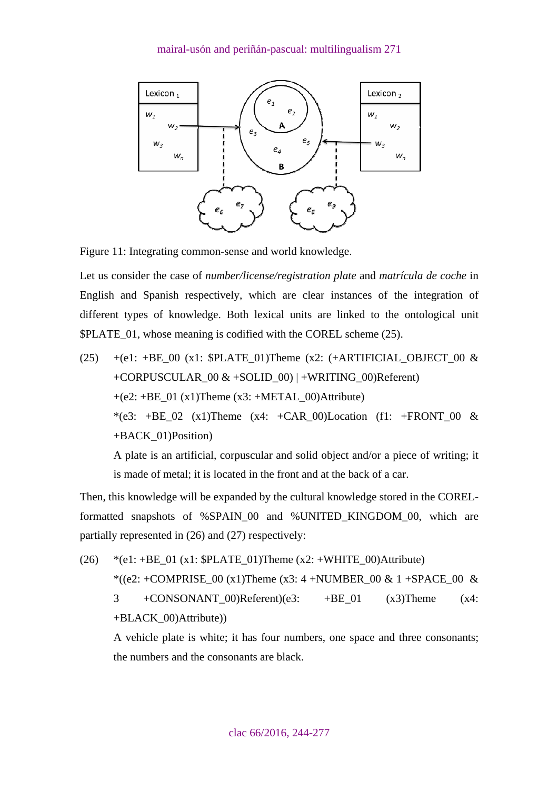

Figure 11: Integrating common-sense and world knowledge.

Let us consider the case of *number/license/registration plate* and *matrícula de coche* in English and Spanish respectively, which are clear instances of the integration of different types of knowledge. Both lexical units are linked to the ontological unit \$PLATE 01, whose meaning is codified with the COREL scheme (25).

(25) +(e1: +BE\_00 (x1:  $$PLATE$  01)Theme (x2: (+ARTIFICIAL\_OBJECT\_00 & +CORPUSCULAR\_00  $&+SOLID$  00) | +WRITING\_00)Referent)  $+(e2: +BE_01 (x1)$ Theme (x3:  $+METAL_00)$ Attribute) \*(e3: +BE\_02 (x1)Theme (x4: +CAR\_00)Location (f1: +FRONT\_00 & +BACK\_01)Position) A plate is an artificial, corpuscular and solid object and/or a piece of writing; it

Then, this knowledge will be expanded by the cultural knowledge stored in the CORELformatted snapshots of %SPAIN\_00 and %UNITED\_KINGDOM\_00, which are partially represented in (26) and (27) respectively:

is made of metal; it is located in the front and at the back of a car.

(26) \*(e1: +BE\_01 (x1:  $$PLATE\_01$ )Theme (x2: +WHITE\_00)Attribute) \*((e2: +COMPRISE\_00 (x1)Theme (x3: 4 +NUMBER\_00 & 1 +SPACE\_00 & 3 +CONSONANT\_00)Referent)(e3: +BE\_01 (x3)Theme (x4: +BLACK\_00)Attribute))

A vehicle plate is white; it has four numbers, one space and three consonants; the numbers and the consonants are black.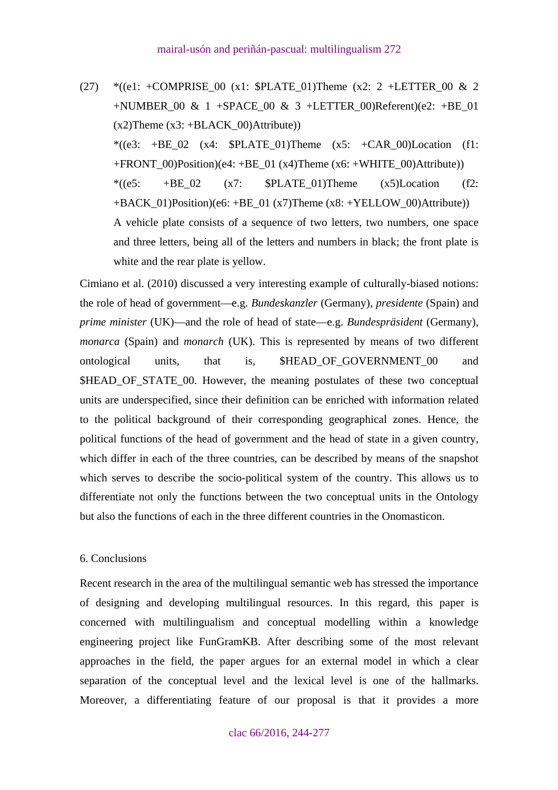<span id="page-28-0"></span>(27)  $*(e1: +COMPRISE_00 (x1: \$PLATE_01)$ Theme  $(x2: 2 + LETTER_00 & 2)$ +NUMBER\_00 & 1 +SPACE\_00 & 3 +LETTER\_00)Referent)(e2: +BE\_01  $(x2)$ Theme  $(x3: +BLACK$  00)Attribute)) \* $((e3: +BE02 (x4: SPLATE01))$ Theme  $(x5: +CAR00)$ Location (f1: +FRONT  $00$ )Position)(e4: +BE 01 (x4)Theme (x6: +WHITE 00)Attribute)) \*((e5:  $+BE \t02$  (x7:  $$PLATE \t01)$ Theme (x5)Location (f2:  $+BACK$  01)Position)(e6:  $+BE$  01 (x7)Theme (x8:  $+YELLOW$  00)Attribute)) A vehicle plate consists of a sequence of two letters, two numbers, one space and three letters, being all of the letters and numbers in black; the front plate is white and the rear plate is yellow.

Cimiano et al. (2010) discussed a very interesting example of culturally-biased notions: the role of head of government—e.g. *Bundeskanzler* (Germany), *presidente* (Spain) and *prime minister* (UK)—and the role of head of state—e.g. *Bundespräsident* (Germany), *monarca* (Spain) and *monarch* (UK). This is represented by means of two different ontological units, that is, \$HEAD\_OF\_GOVERNMENT\_00 and \$HEAD\_OF\_STATE\_00. However, the meaning postulates of these two conceptual units are underspecified, since their definition can be enriched with information related to the political background of their corresponding geographical zones. Hence, the political functions of the head of government and the head of state in a given country, which differ in each of the three countries, can be described by means of the snapshot which serves to describe the socio-political system of the country. This allows us to differentiate not only the functions between the two conceptual units in the Ontology but also the functions of each in the three different countries in the Onomasticon.

#### 6. Conclusions

Recent research in the area of the multilingual semantic web has stressed the importance of designing and developing multilingual resources. In this regard, this paper is concerned with multilingualism and conceptual modelling within a knowledge engineering project like FunGramKB. After describing some of the most relevant approaches in the field, the paper argues for an external model in which a clear separation of the conceptual level and the lexical level is one of the hallmarks. Moreover, a differentiating feature of our proposal is that it provides a more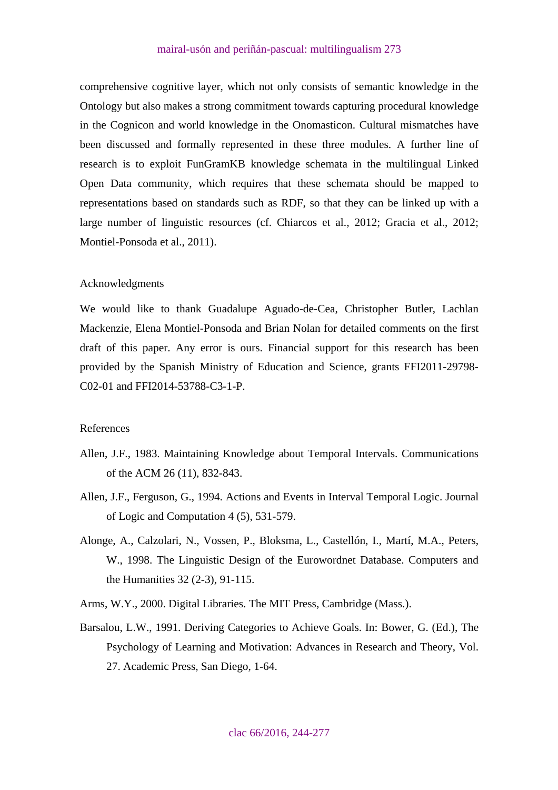<span id="page-29-0"></span>comprehensive cognitive layer, which not only consists of semantic knowledge in the Ontology but also makes a strong commitment towards capturing procedural knowledge in the Cognicon and world knowledge in the Onomasticon. Cultural mismatches have been discussed and formally represented in these three modules. A further line of research is to exploit FunGramKB knowledge schemata in the multilingual Linked Open Data community, which requires that these schemata should be mapped to representations based on standards such as RDF, so that they can be linked up with a large number of linguistic resources (cf. Chiarcos et al., 2012; Gracia et al., 2012; Montiel-Ponsoda et al., 2011).

### Acknowledgments

We would like to thank Guadalupe Aguado-de-Cea, Christopher Butler, Lachlan Mackenzie, Elena Montiel-Ponsoda and Brian Nolan for detailed comments on the first draft of this paper. Any error is ours. Financial support for this research has been provided by the Spanish Ministry of Education and Science, grants FFI2011-29798- C02-01 and FFI2014-53788-C3-1-P.

### References

- Allen, J.F., 1983. Maintaining Knowledge about Temporal Intervals. Communications of the ACM 26 (11), 832-843.
- Allen, J.F., Ferguson, G., 1994. Actions and Events in Interval Temporal Logic. Journal of Logic and Computation 4 (5), 531-579.
- Alonge, A., Calzolari, N., Vossen, P., Bloksma, L., Castellón, I., Martí, M.A., Peters, W., 1998. The Linguistic Design of the Eurowordnet Database. Computers and the Humanities 32 (2-3), 91-115.
- Arms, W.Y., 2000. Digital Libraries. The MIT Press, Cambridge (Mass.).
- Barsalou, L.W., 1991. Deriving Categories to Achieve Goals. In: Bower, G. (Ed.), The Psychology of Learning and Motivation: Advances in Research and Theory, Vol. 27. Academic Press, San Diego, 1-64.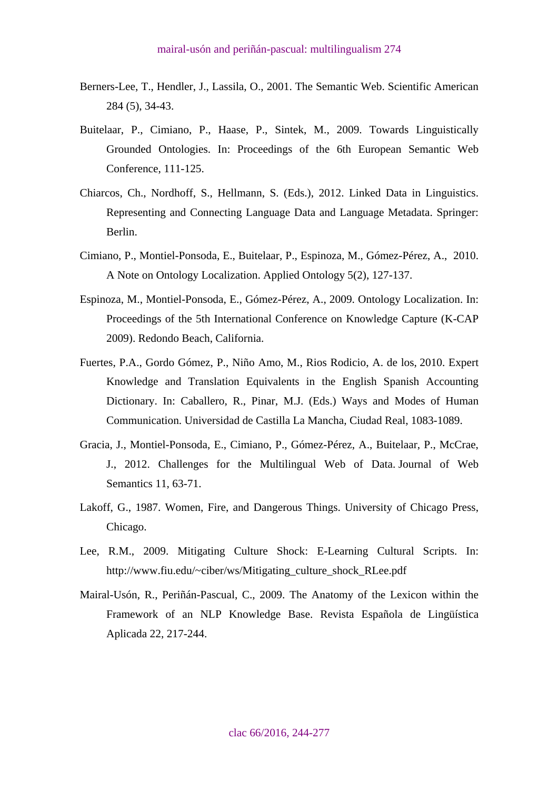- Berners-Lee, T., Hendler, J., Lassila, O., 2001. The Semantic Web. Scientific American 284 (5), 34-43.
- Buitelaar, P., Cimiano, P., Haase, P., Sintek, M., 2009. Towards Linguistically Grounded Ontologies. In: Proceedings of the 6th European Semantic Web Conference, 111-125.
- Chiarcos, Ch., Nordhoff, S., Hellmann, S. (Eds.), 2012. Linked Data in Linguistics. Representing and Connecting Language Data and Language Metadata. Springer: Berlin.
- Cimiano, P., Montiel-Ponsoda, E., Buitelaar, P., Espinoza, M., Gómez-Pérez, A., 2010. A Note on Ontology Localization. Applied Ontology 5(2), 127-137.
- Espinoza, M., Montiel-Ponsoda, E., Gómez-Pérez, A., 2009. Ontology Localization. In: Proceedings of the 5th International Conference on Knowledge Capture (K-CAP 2009). Redondo Beach, California.
- Fuertes, P.A., Gordo Gómez, P., Niño Amo, M., Rios Rodicio, A. de los, 2010. Expert Knowledge and Translation Equivalents in the English Spanish Accounting Dictionary. In: Caballero, R., Pinar, M.J. (Eds.) Ways and Modes of Human Communication. Universidad de Castilla La Mancha, Ciudad Real, 1083-1089.
- Gracia, J., Montiel-Ponsoda, E., Cimiano, P., Gómez-Pérez, A., Buitelaar, P., McCrae, J., 2012. Challenges for the Multilingual Web of Data. Journal of Web Semantics 11, 63-71.
- Lakoff, G., 1987. Women, Fire, and Dangerous Things. University of Chicago Press, Chicago.
- Lee, R.M., 2009. Mitigating Culture Shock: E-Learning Cultural Scripts. In: [http://www.fiu.edu/~ciber/ws/Mitigating\\_culture\\_shock\\_RLee.pdf](http://www.fiu.edu/%7Eciber/ws/Mitigating_culture_shock_RLee.pdf)
- Mairal-Usón, R., Periñán-Pascual, C., 2009. The Anatomy of the Lexicon within the Framework of an NLP Knowledge Base. Revista Española de Lingüística Aplicada 22, 217-244.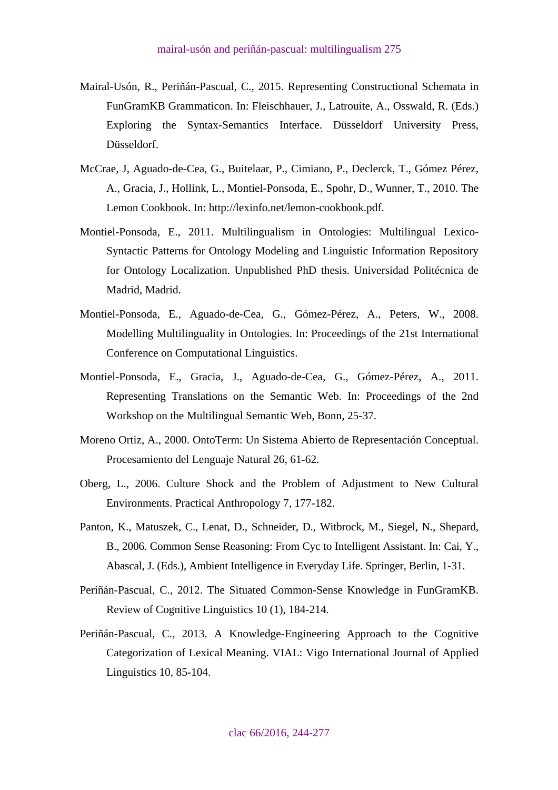- Mairal-Usón, R., Periñán-Pascual, C., 2015. Representing Constructional Schemata in FunGramKB Grammaticon. In: Fleischhauer, J., Latrouite, A., Osswald, R. (Eds.) Exploring the Syntax-Semantics Interface. Düsseldorf University Press, Düsseldorf.
- McCrae, J, Aguado-de-Cea, G., Buitelaar, P., Cimiano, P., Declerck, T., Gómez Pérez, A., Gracia, J., Hollink, L., Montiel-Ponsoda, E., Spohr, D., Wunner, T., 2010. The Lemon Cookbook. In: http://lexinfo.net/lemon-cookbook.pdf.
- Montiel-Ponsoda, E., 2011. Multilingualism in Ontologies: Multilingual Lexico-Syntactic Patterns for Ontology Modeling and Linguistic Information Repository for Ontology Localization. Unpublished PhD thesis. Universidad Politécnica de Madrid, Madrid.
- Montiel-Ponsoda, E., Aguado-de-Cea, G., Gómez-Pérez, A., Peters, W., 2008. Modelling Multilinguality in Ontologies. In: Proceedings of the 21st International Conference on Computational Linguistics.
- Montiel-Ponsoda, E., Gracia, J., Aguado-de-Cea, G., Gómez-Pérez, A., 2011. Representing Translations on the Semantic Web. In: Proceedings of the 2nd Workshop on the Multilingual Semantic Web, Bonn, 25-37.
- Moreno Ortiz, A., 2000. OntoTerm: Un Sistema Abierto de Representación Conceptual. Procesamiento del Lenguaje Natural 26, 61-62.
- Oberg, L., 2006. Culture Shock and the Problem of Adjustment to New Cultural Environments. Practical Anthropology 7, 177-182.
- Panton, K., Matuszek, C., Lenat, D., Schneider, D., Witbrock, M., Siegel, N., Shepard, B., 2006. Common Sense Reasoning: From Cyc to Intelligent Assistant. In: Cai, Y., Abascal, J. (Eds.), Ambient Intelligence in Everyday Life. Springer, Berlin, 1-31.
- Periñán-Pascual, C., 2012. The Situated Common-Sense Knowledge in FunGramKB. Review of Cognitive Linguistics 10 (1), 184-214.
- Periñán-Pascual, C., 2013. A Knowledge-Engineering Approach to the Cognitive Categorization of Lexical Meaning. VIAL: Vigo International Journal of Applied Linguistics 10, 85-104.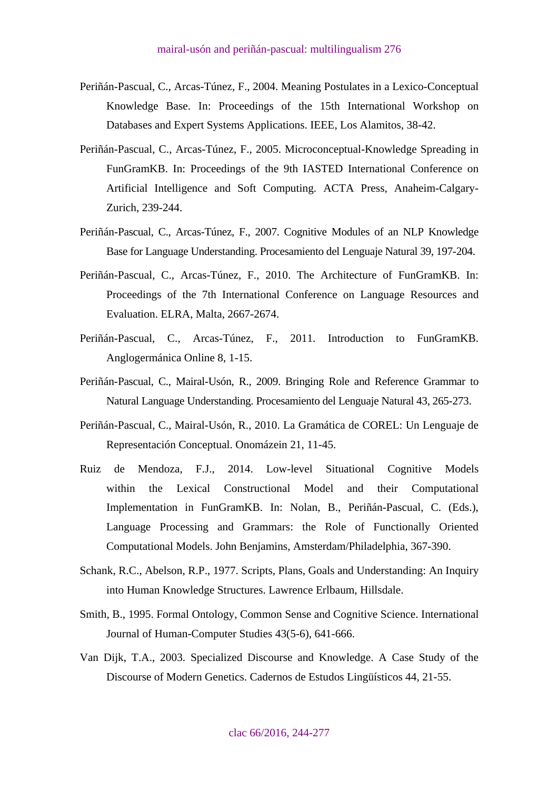- Periñán-Pascual, C., Arcas-Túnez, F., 2004. Meaning Postulates in a Lexico-Conceptual Knowledge Base. In: Proceedings of the 15th International Workshop on Databases and Expert Systems Applications. IEEE, Los Alamitos, 38-42.
- Periñán-Pascual, C., Arcas-Túnez, F., 2005. Microconceptual-Knowledge Spreading in FunGramKB. In: Proceedings of the 9th IASTED International Conference on Artificial Intelligence and Soft Computing. ACTA Press, Anaheim-Calgary-Zurich, 239-244.
- Periñán-Pascual, C., Arcas-Túnez, F., 2007. Cognitive Modules of an NLP Knowledge Base for Language Understanding. Procesamiento del Lenguaje Natural 39, 197-204.
- Periñán-Pascual, C., Arcas-Túnez, F., 2010. The Architecture of FunGramKB. In: Proceedings of the 7th International Conference on Language Resources and Evaluation. ELRA, Malta, 2667-2674.
- Periñán-Pascual, C., Arcas-Túnez, F., 2011. Introduction to FunGramKB. Anglogermánica Online 8, 1-15.
- Periñán-Pascual, C., Mairal-Usón, R., 2009. Bringing Role and Reference Grammar to Natural Language Understanding. Procesamiento del Lenguaje Natural 43, 265-273.
- Periñán-Pascual, C., Mairal-Usón, R., 2010. La Gramática de COREL: Un Lenguaje de Representación Conceptual. Onomázein 21, 11-45.
- Ruiz de Mendoza, F.J., 2014. Low-level Situational Cognitive Models within the Lexical Constructional Model and their Computational Implementation in FunGramKB. In: Nolan, B., Periñán-Pascual, C. (Eds.), Language Processing and Grammars: the Role of Functionally Oriented Computational Models. John Benjamins, Amsterdam/Philadelphia, 367-390.
- Schank, R.C., Abelson, R.P., 1977. Scripts, Plans, Goals and Understanding: An Inquiry into Human Knowledge Structures. Lawrence Erlbaum, Hillsdale.
- Smith, B., 1995. Formal Ontology, Common Sense and Cognitive Science. International Journal of Human-Computer Studies 43(5-6), 641-666.
- Van Dijk, T.A., 2003. Specialized Discourse and Knowledge. A Case Study of the Discourse of Modern Genetics. Cadernos de Estudos Lingüísticos 44, 21-55.